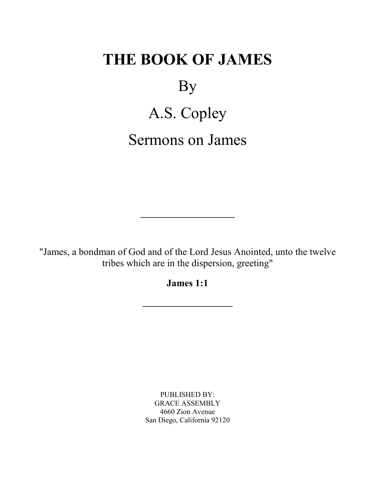# **THE BOOK OF JAMES**

By

A.S. Copley Sermons on James

"James, a bondman of God and of the Lord Jesus Anointed, unto the twelve tribes which are in the dispersion, greeting"

**\_\_\_\_\_\_\_\_\_\_\_\_\_\_\_\_\_\_\_\_\_\_**

**James 1:1**

**\_\_\_\_\_\_\_\_\_\_\_\_\_\_\_\_\_\_\_\_\_**

PUBLISHED BY: GRACE ASSEMBLY 4660 Zion Avenue San Diego, California 92120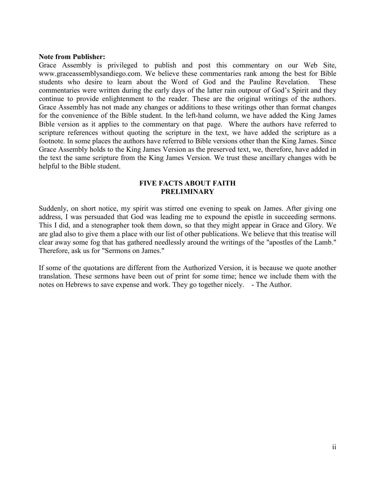## **Note from Publisher:**

Grace Assembly is privileged to publish and post this commentary on our Web Site, www.graceassemblysandiego.com. We believe these commentaries rank among the best for Bible students who desire to learn about the Word of God and the Pauline Revelation. These commentaries were written during the early days of the latter rain outpour of God's Spirit and they continue to provide enlightenment to the reader. These are the original writings of the authors. Grace Assembly has not made any changes or additions to these writings other than format changes for the convenience of the Bible student. In the left-hand column, we have added the King James Bible version as it applies to the commentary on that page. Where the authors have referred to scripture references without quoting the scripture in the text, we have added the scripture as a footnote. In some places the authors have referred to Bible versions other than the King James. Since Grace Assembly holds to the King James Version as the preserved text, we, therefore, have added in the text the same scripture from the King James Version. We trust these ancillary changes with be helpful to the Bible student.

# **FIVE FACTS ABOUT FAITH PRELIMINARY**

Suddenly, on short notice, my spirit was stirred one evening to speak on James. After giving one address, I was persuaded that God was leading me to expound the epistle in succeeding sermons. This I did, and a stenographer took them down, so that they might appear in Grace and Glory. We are glad also to give them a place with our list of other publications. We believe that this treatise will clear away some fog that has gathered needlessly around the writings of the "apostles of the Lamb." Therefore, ask us for "Sermons on James."

If some of the quotations are different from the Authorized Version, it is because we quote another translation. These sermons have been out of print for some time; hence we include them with the notes on Hebrews to save expense and work. They go together nicely. - The Author.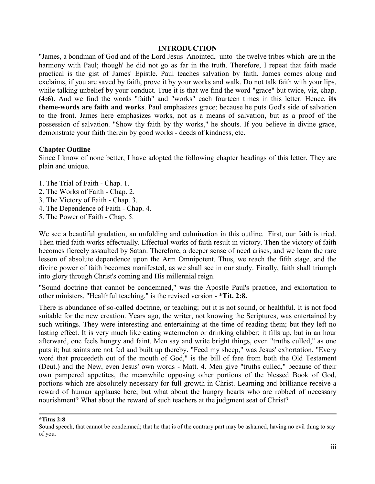## **INTRODUCTION**

"James, a bondman of God and of the Lord Jesus Anointed, unto the twelve tribes which are in the harmony with Paul; though' he did not go as far in the truth. Therefore, I repeat that faith made practical is the gist of James' Epistle. Paul teaches salvation by faith. James comes along and exclaims, if you are saved by faith, prove it by your works and walk. Do not talk faith with your lips, while talking unbelief by your conduct. True it is that we find the word "grace" but twice, viz, chap. **(4:6).** And we find the words "faith" and "works" each fourteen times in this letter. Hence, **its theme-words are faith and works**. Paul emphasizes grace; because he puts God's side of salvation to the front. James here emphasizes works, not as a means of salvation, but as a proof of the possession of salvation. "Show thy faith by thy works," he shouts. If you believe in divine grace, demonstrate your faith therein by good works - deeds of kindness, etc.

# **Chapter Outline**

Since I know of none better, I have adopted the following chapter headings of this letter. They are plain and unique.

- 1. The Trial of Faith Chap. 1.
- 2. The Works of Faith Chap. 2.
- 3. The Victory of Faith Chap. 3.
- 4. The Dependence of Faith Chap. 4.
- 5. The Power of Faith Chap. 5.

We see a beautiful gradation, an unfolding and culmination in this outline. First, our faith is tried. Then tried faith works effectually. Effectual works of faith result in victory. Then the victory of faith becomes fiercely assaulted by Satan. Therefore, a deeper sense of need arises, and we learn the rare lesson of absolute dependence upon the Arm Omnipotent. Thus, we reach the fifth stage, and the divine power of faith becomes manifested, as we shall see in our study. Finally, faith shall triumph into glory through Christ's coming and His millennial reign.

"Sound doctrine that cannot be condemned," was the Apostle Paul's practice, and exhortation to other ministers. "Healthful teaching," is the revised version - \***Tit. 2:8.**

There is abundance of so-called doctrine, or teaching; but it is not sound, or healthful. It is not food suitable for the new creation. Years ago, the writer, not knowing the Scriptures, was entertained by such writings. They were interesting and entertaining at the time of reading them; but they left no lasting effect. It is very much like eating watermelon or drinking clabber; it fills up, but in an hour afterward, one feels hungry and faint. Men say and write bright things, even "truths culled," as one puts it; but saints are not fed and built up thereby. "Feed my sheep," was Jesus' exhortation. "Every word that proceedeth out of the mouth of God," is the bill of fare from both the Old Testament (Deut.) and the New, even Jesus' own words - Matt. 4. Men give "truths culled," because of their own pampered appetites, the meanwhile opposing other portions of the blessed Book of God, portions which are absolutely necessary for full growth in Christ. Learning and brilliance receive a reward of human applause here; but what about the hungry hearts who are robbed of necessary nourishment? What about the reward of such teachers at the judgment seat of Christ?

**\*Titus 2:8** 

Sound speech, that cannot be condemned; that he that is of the contrary part may be ashamed, having no evil thing to say of you.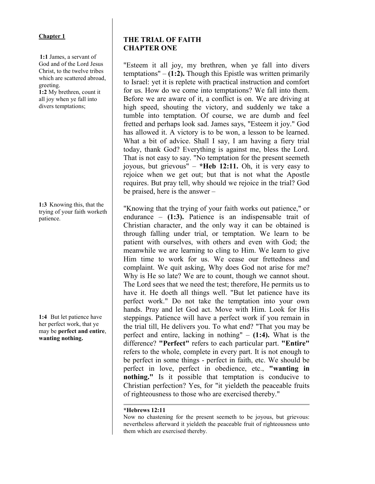## **Chapter 1**

**1:1** James, a servant of God and of the Lord Jesus Christ, to the twelve tribes which are scattered abroad, greeting.

**1:2** My brethren, count it all joy when ye fall into divers temptations;

**1:3** Knowing this, that the trying of your faith worketh patience.

**1:4** But let patience have her perfect work, that ye may be **perfect and entire**, **wanting nothing.**

# **THE TRIAL OF FAITH CHAPTER ONE**

"Esteem it all joy, my brethren, when ye fall into divers temptations" – **(1:2).** Though this Epistle was written primarily to Israel: yet it is replete with practical instruction and comfort for us. How do we come into temptations? We fall into them. Before we are aware of it, a conflict is on. We are driving at high speed, shouting the victory, and suddenly we take a tumble into temptation. Of course, we are dumb and feel fretted and perhaps look sad. James says, "Esteem it joy." God has allowed it. A victory is to be won, a lesson to be learned. What a bit of advice. Shall I say, I am having a fiery trial today, thank God? Everything is against me, bless the Lord. That is not easy to say. "No temptation for the present seemeth joyous, but grievous" – **\*Heb 12:11.** Oh, it is very easy to rejoice when we get out; but that is not what the Apostle requires. But pray tell, why should we rejoice in the trial? God be praised, here is the answer –

"Knowing that the trying of your faith works out patience," or endurance – **(1:3).** Patience is an indispensable trait of Christian character, and the only way it can be obtained is through falling under trial, or temptation. We learn to be patient with ourselves, with others and even with God; the meanwhile we are learning to cling to Him. We learn to give Him time to work for us. We cease our frettedness and complaint. We quit asking, Why does God not arise for me? Why is He so late? We are to count, though we cannot shout. The Lord sees that we need the test; therefore, He permits us to have it. He doeth all things well. "But let patience have its perfect work." Do not take the temptation into your own hands. Pray and let God act. Move with Him. Look for His steppings. Patience will have a perfect work if you remain in the trial till, He delivers you. To what end? "That you may be perfect and entire, lacking in nothing" – **(1:4).** What is the difference? **"Perfect"** refers to each particular part. **"Entire"** refers to the whole, complete in every part. It is not enough to be perfect in some things - perfect in faith, etc. We should be perfect in love, perfect in obedience, etc., **"wanting in nothing."** Is it possible that temptation is conducive to Christian perfection? Yes, for "it yieldeth the peaceable fruits of righteousness to those who are exercised thereby."

## **\*Hebrews 12:11**

Now no chastening for the present seemeth to be joyous, but grievous: nevertheless afterward it yieldeth the peaceable fruit of righteousness unto them which are exercised thereby.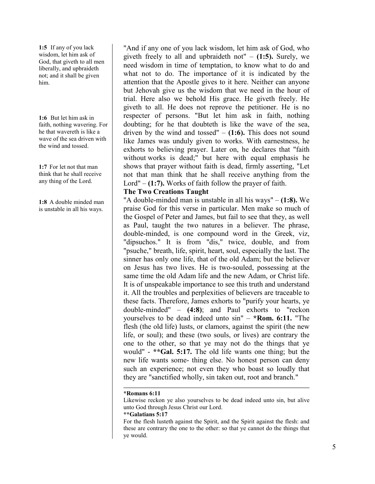**1:5** If any of you lack wisdom, let him ask of God, that giveth to all men liberally, and upbraideth not; and it shall be given him.

**1:6** But let him ask in faith, nothing wavering. For he that wavereth is like a wave of the sea driven with the wind and tossed.

**1:7** For let not that man think that he shall receive any thing of the Lord.

**1:8** A double minded man is unstable in all his ways.

"And if any one of you lack wisdom, let him ask of God, who giveth freely to all and upbraideth not" – **(1:5).** Surely, we need wisdom in time of temptation, to know what to do and what not to do. The importance of it is indicated by the attention that the Apostle gives to it here. Neither can anyone but Jehovah give us the wisdom that we need in the hour of trial. Here also we behold His grace. He giveth freely. He giveth to all. He does not reprove the petitioner. He is no respecter of persons. "But let him ask in faith, nothing doubting; for he that doubteth is like the wave of the sea, driven by the wind and tossed"  $-$  (1:6). This does not sound like James was unduly given to works. With earnestness, he exhorts to believing prayer. Later on, he declares that "faith without works is dead;" but here with equal emphasis he shows that prayer without faith is dead, firmly asserting, "Let not that man think that he shall receive anything from the Lord" – **(1:7).** Works of faith follow the prayer of faith.

## **The Two Creations Taught**

"A double-minded man is unstable in all his ways" – **(1:8).** We praise God for this verse in particular. Men make so much of the Gospel of Peter and James, but fail to see that they, as well as Paul, taught the two natures in a believer. The phrase, double-minded, is one compound word in the Greek, viz, "dipsuchos." It is from "dis," twice, double, and from "psuche," breath, life, spirit, heart, soul, especially the last. The sinner has only one life, that of the old Adam; but the believer on Jesus has two lives. He is two-souled, possessing at the same time the old Adam life and the new Adam, or Christ life. It is of unspeakable importance to see this truth and understand it. All the troubles and perplexities of believers are traceable to these facts. Therefore, James exhorts to "purify your hearts, ye double-minded" – **(4:8)**; and Paul exhorts to "reckon yourselves to be dead indeed unto sin" – **\*Rom. 6:11.** "The flesh (the old life) lusts, or clamors, against the spirit (the new life, or soul); and these (two souls, or lives) are contrary the one to the other, so that ye may not do the things that ye would" - **\*\*Gal. 5:17.** The old life wants one thing; but the new life wants some- thing else. No honest person can deny such an experience; not even they who boast so loudly that they are "sanctified wholly, sin taken out, root and branch."

## **\*Romans 6:11**

Likewise reckon ye also yourselves to be dead indeed unto sin, but alive unto God through Jesus Christ our Lord.

#### **\*\*Galatians 5:17**

For the flesh lusteth against the Spirit, and the Spirit against the flesh: and these are contrary the one to the other: so that ye cannot do the things that ye would.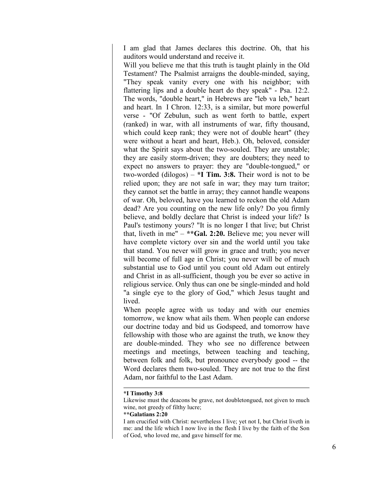I am glad that James declares this doctrine. Oh, that his auditors would understand and receive it.

Will you believe me that this truth is taught plainly in the Old Testament? The Psalmist arraigns the double-minded, saying, "They speak vanity every one with his neighbor; with flattering lips and a double heart do they speak" - Psa. 12:2. The words, "double heart," in Hebrews are "leb va leb," heart and heart. In I Chron. 12:33, is a similar, but more powerful verse - "Of Zebulun, such as went forth to battle, expert (ranked) in war, with all instruments of war, fifty thousand, which could keep rank; they were not of double heart" (they were without a heart and heart, Heb.). Oh, beloved, consider what the Spirit says about the two-souled. They are unstable; they are easily storm-driven; they are doubters; they need to expect no answers to prayer: they are "double-tongued," or two-worded (dilogos) – **\*I Tim. 3:8.** Their word is not to be relied upon; they are not safe in war; they may turn traitor; they cannot set the battle in array; they cannot handle weapons of war. Oh, beloved, have you learned to reckon the old Adam dead? Are you counting on the new life only? Do you firmly believe, and boldly declare that Christ is indeed your life? Is Paul's testimony yours? "It is no longer I that live; but Christ that, liveth in me" – **\*\*Gal. 2:20.** Believe me; you never will have complete victory over sin and the world until you take that stand. You never will grow in grace and truth; you never will become of full age in Christ; you never will be of much substantial use to God until you count old Adam out entirely and Christ in as all-sufficient, though you be ever so active in religious service. Only thus can one be single-minded and hold "a single eye to the glory of God," which Jesus taught and lived.

When people agree with us today and with our enemies tomorrow, we know what ails them. When people can endorse our doctrine today and bid us Godspeed, and tomorrow have fellowship with those who are against the truth, we know they are double-minded. They who see no difference between meetings and meetings, between teaching and teaching, between folk and folk, but pronounce everybody good -- the Word declares them two-souled. They are not true to the first Adam, nor faithful to the Last Adam.

#### **\*I Timothy 3:8**

**\*\*Galatians 2:20** 

Likewise must the deacons be grave, not doubletongued, not given to much wine, not greedy of filthy lucre;

I am crucified with Christ: nevertheless I live; yet not I, but Christ liveth in me: and the life which I now live in the flesh I live by the faith of the Son of God, who loved me, and gave himself for me.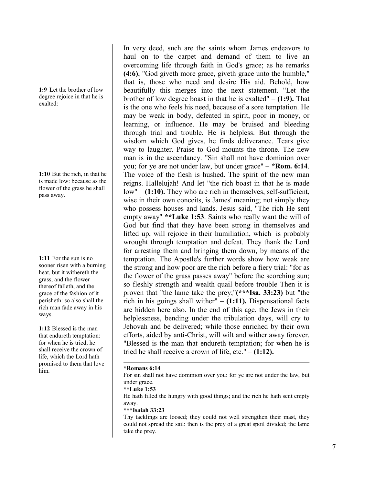**1:9** Let the brother of low degree rejoice in that he is exalted:

**1:10** But the rich, in that he is made low: because as the flower of the grass he shall pass away.

**1:11** For the sun is no sooner risen with a burning heat, but it withereth the grass, and the flower thereof falleth, and the grace of the fashion of it perisheth: so also shall the rich man fade away in his ways.

**1:12** Blessed is the man that endureth temptation: for when he is tried, he shall receive the crown of life, which the Lord hath promised to them that love him.

In very deed, such are the saints whom James endeavors to haul on to the carpet and demand of them to live an overcoming life through faith in God's grace; as he remarks **(4:6)**, "God giveth more grace, giveth grace unto the humble," that is, those who need and desire His aid. Behold, how beautifully this merges into the next statement. "Let the brother of low degree boast in that he is exalted" – **(1:9).** That is the one who feels his need, because of a sore temptation. He may be weak in body, defeated in spirit, poor in money, or learning, or influence. He may be bruised and bleeding through trial and trouble. He is helpless. But through the wisdom which God gives, he finds deliverance. Tears give way to laughter. Praise to God mounts the throne. The new man is in the ascendancy. "Sin shall not have dominion over you; for ye are not under law, but under grace" – **\*Rom. 6:14**. The voice of the flesh is hushed. The spirit of the new man reigns. Hallelujah! And let "the rich boast in that he is made low" – (1:10). They who are rich in themselves, self-sufficient, wise in their own conceits, is James' meaning; not simply they who possess houses and lands. Jesus said, "The rich He sent empty away" **\*\*Luke 1:53**. Saints who really want the will of God but find that they have been strong in themselves and lifted up, will rejoice in their humiliation, which is probably wrought through temptation and defeat. They thank the Lord for arresting them and bringing them down, by means of the temptation. The Apostle's further words show how weak are the strong and how poor are the rich before a fiery trial: "for as the flower of the grass passes away" before the scorching sun; so fleshly strength and wealth quail before trouble Then it is proven that "the lame take the prey;"**(\*\*\*Isa. 33:23)** but "the rich in his goings shall wither" – **(1:11).** Dispensational facts are hidden here also. In the end of this age, the Jews in their helplessness, bending under the tribulation days, will cry to Jehovah and be delivered; while those enriched by their own efforts, aided by anti-Christ, will wilt and wither away forever. "Blessed is the man that endureth temptation; for when he is tried he shall receive a crown of life, etc." – **(1:12).**

#### **\*Romans 6:14**

For sin shall not have dominion over you: for ye are not under the law, but under grace.

**\*\*Luke 1:53**

He hath filled the hungry with good things; and the rich he hath sent empty away.

#### **\*\*\*Isaiah 33:23**

Thy tacklings are loosed; they could not well strengthen their mast, they could not spread the sail: then is the prey of a great spoil divided; the lame take the prey.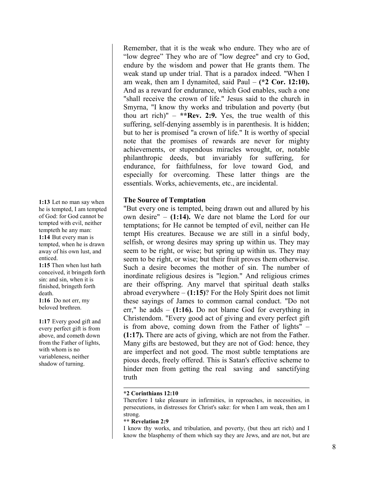Remember, that it is the weak who endure. They who are of "low degree" They who are of "low degree" and cry to God, endure by the wisdom and power that He grants them. The weak stand up under trial. That is a paradox indeed. "When I am weak, then am I dynamited, said Paul – **(\*2 Cor. 12:10).** And as a reward for endurance, which God enables, such a one "shall receive the crown of life." Jesus said to the church in Smyrna, "I know thy works and tribulation and poverty (but thou art rich)"  $-$  \*\*Rev. 2:9. Yes, the true wealth of this suffering, self-denying assembly is in parenthesis. It is hidden; but to her is promised "a crown of life." It is worthy of special note that the promises of rewards are never for mighty achievements, or stupendous miracles wrought, or, notable philanthropic deeds, but invariably for suffering, for endurance, for faithfulness, for love toward God, and especially for overcoming. These latter things are the essentials. Works, achievements, etc., are incidental.

## **The Source of Temptation**

"But every one is tempted, being drawn out and allured by his own desire" – **(1:14).** We dare not blame the Lord for our temptations; for He cannot be tempted of evil, neither can He tempt His creatures. Because we are still in a sinful body, selfish, or wrong desires may spring up within us. They may seem to be right, or wise; but spring up within us. They may seem to be right, or wise; but their fruit proves them otherwise. Such a desire becomes the mother of sin. The number of inordinate religious desires is "legion." And religious crimes are their offspring. Any marvel that spiritual death stalks abroad everywhere – **(1:15)**? For the Holy Spirit does not limit these sayings of James to common carnal conduct. "Do not err," he adds – **(1:16).** Do not blame God for everything in Christendom. "Every good act of giving and every perfect gift is from above, coming down from the Father of lights" – **(1:17).** There are acts of giving, which are not from the Father. Many gifts are bestowed, but they are not of God: hence, they are imperfect and not good. The most subtle temptations are pious deeds, freely offered. This is Satan's effective scheme to hinder men from getting the real saving and sanctifying truth

## **\*2 Corinthians 12:10**

Therefore I take pleasure in infirmities, in reproaches, in necessities, in persecutions, in distresses for Christ's sake: for when I am weak, then am I strong.

## **\*\* Revelation 2:9**

I know thy works, and tribulation, and poverty, (but thou art rich) and I know the blasphemy of them which say they are Jews, and are not, but are

**1:13** Let no man say when he is tempted, I am tempted of God: for God cannot be tempted with evil, neither tempteth he any man: **1:14** But every man is tempted, when he is drawn away of his own lust, and enticed.

**1:15** Then when lust hath conceived, it bringeth forth sin: and sin, when it is finished, bringeth forth death.

**1:16** Do not err, my beloved brethren.

**1:17** Every good gift and every perfect gift is from above, and cometh down from the Father of lights, with whom is no variableness, neither shadow of turning.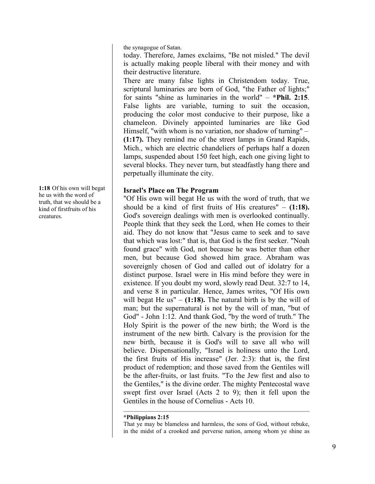the synagogue of Satan.

today. Therefore, James exclaims, "Be not misled." The devil is actually making people liberal with their money and with their destructive literature.

There are many false lights in Christendom today. True, scriptural luminaries are born of God, "the Father of lights;" for saints "shine as luminaries in the world" – **\*Phil. 2:15**. False lights are variable, turning to suit the occasion, producing the color most conducive to their purpose, like a chameleon. Divinely appointed luminaries are like God Himself, "with whom is no variation, nor shadow of turning" – **(1:17).** They remind me of the street lamps in Grand Rapids, Mich., which are electric chandeliers of perhaps half a dozen lamps, suspended about 150 feet high, each one giving light to several blocks. They never turn, but steadfastly hang there and perpetually illuminate the city.

# **Israel's Place on The Program**

"Of His own will begat He us with the word of truth, that we should be a kind of first fruits of His creatures" – **(1:18).** God's sovereign dealings with men is overlooked continually. People think that they seek the Lord, when He comes to their aid. They do not know that "Jesus came to seek and to save that which was lost:" that is, that God is the first seeker. "Noah found grace" with God, not because he was better than other men, but because God showed him grace. Abraham was sovereignly chosen of God and called out of idolatry for a distinct purpose. Israel were in His mind before they were in existence. If you doubt my word, slowly read Deut. 32:7 to 14, and verse 8 in particular. Hence, James writes, "Of His own will begat He us"  $-$  (1:18). The natural birth is by the will of man; but the supernatural is not by the will of man, "but of God" - John 1:12. And thank God, "by the word of truth." The Holy Spirit is the power of the new birth; the Word is the instrument of the new birth. Calvary is the provision for the new birth, because it is God's will to save all who will believe. Dispensationally, "Israel is holiness unto the Lord, the first fruits of His increase" (Jer. 2:3): that is, the first product of redemption; and those saved from the Gentiles will be the after-fruits, or last fruits. "To the Jew first and also to the Gentiles," is the divine order. The mighty Pentecostal wave swept first over Israel (Acts 2 to 9); then it fell upon the Gentiles in the house of Cornelius - Acts 10.

## **\*Philippians 2:15**

That ye may be blameless and harmless, the sons of God, without rebuke, in the midst of a crooked and perverse nation, among whom ye shine as

**1:18** Of his own will begat he us with the word of truth, that we should be a kind of firstfruits of his creatures.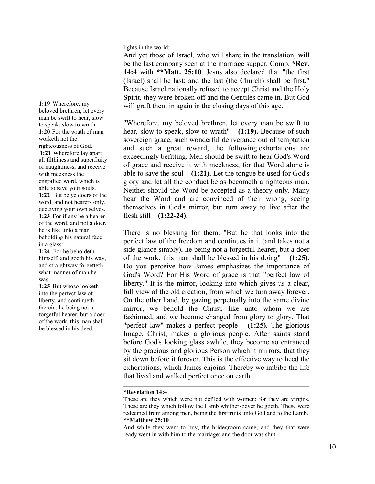lights in the world;

And yet those of Israel, who will share in the translation, will be the last company seen at the marriage supper. Comp. **\*Rev. 14:4** with **\*\*Matt. 25:10**. Jesus also declared that "the first (Israel) shall be last; and the last (the Church) shall be first." Because Israel nationally refused to accept Christ and the Holy Spirit, they were broken off and the Gentiles came in. But God will graft them in again in the closing days of this age.

"Wherefore, my beloved brethren, let every man be swift to hear, slow to speak, slow to wrath" – **(1:19).** Because of such sovereign grace, such wonderful deliverance out of temptation and such a great reward, the following exhortations are exceedingly befitting. Men should be swift to hear God's Word of grace and receive it with meekness; for that Word alone is able to save the soul  $-$  (1:21). Let the tongue be used for God's glory and let all the conduct be as becometh a righteous man. Neither should the Word be accepted as a theory only. Many hear the Word and are convinced of their wrong, seeing themselves in God's mirror, but turn away to live after the flesh still – **(1:22-24).**

There is no blessing for them. "But he that looks into the perfect law of the freedom and continues in it (and takes not a side glance simply), he being not a forgetful hearer, but a doer of the work; this man shall be blessed in his doing" – **(1:25).** Do you perceive how James emphasizes the importance of God's Word? For His Word of grace is that "perfect law of liberty." It is the mirror, looking into which gives us a clear, full view of the old creation, from which we turn away forever. On the other hand, by gazing perpetually into the same divine mirror, we behold the Christ, like unto whom we are fashioned, and we become changed from glory to glory. That "perfect law" makes a perfect people – **(1:25).** The glorious Image, Christ, makes a glorious people. After saints stand before God's looking glass awhile, they become so entranced by the gracious and glorious Person which it mirrors, that they sit down before it forever. This is the effective way to heed the exhortations, which James enjoins. Thereby we imbibe the life that lived and walked perfect once on earth.

## **\*Revelation 14:4**

These are they which were not defiled with women; for they are virgins. These are they which follow the Lamb whithersoever he goeth. These were redeemed from among men, being the firstfruits unto God and to the Lamb. **\*\*Matthew 25:10**

And while they went to buy, the bridegroom came; and they that were ready went in with him to the marriage: and the door was shut.

**1:19** Wherefore, my beloved brethren, let every man be swift to hear, slow to speak, slow to wrath: **1:20** For the wrath of man worketh not the righteousness of God. **1:21** Wherefore lay apart all filthiness and superfluity of naughtiness, and receive with meekness the engrafted word, which is able to save your souls. **1:22** But be ye doers of the word, and not hearers only, deceiving your own selves. **1:23** For if any be a hearer of the word, and not a doer, he is like unto a man beholding his natural face in a glass:

**1:24** For he beholdeth himself, and goeth his way, and straightway forgetteth what manner of man he was.

**1:25** But whoso looketh into the perfect law of liberty, and continueth therein, he being not a forgetful hearer, but a doer of the work, this man shall be blessed in his deed.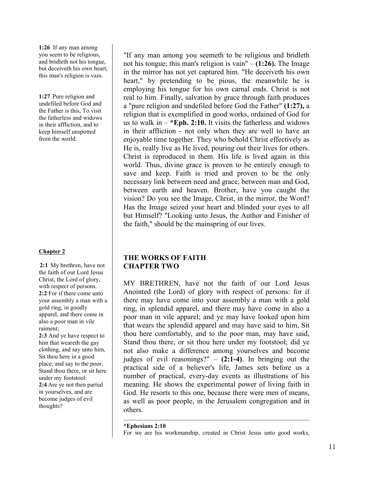**1:26** If any man among you seem to be religious, and bridleth not his tongue, but deceiveth his own heart, this man's religion is vain.

**1:27** Pure religion and undefiled before God and the Father is this, To visit the fatherless and widows in their affliction, and to keep himself unspotted from the world.

## **Chapter 2**

**2:1** My brethren, have not the faith of our Lord Jesus Christ, the Lord of glory, with respect of persons. **2:2** For if there come unto your assembly a man with a gold ring, in goodly apparel, and there come in also a poor man in vile raiment;

**2:3** And ye have respect to him that weareth the gay clothing, and say unto him, Sit thou here in a good place; and say to the poor, Stand thou there, or sit here under my footstool: **2:4** Are ye not then partial in yourselves, and are become judges of evil thoughts?

"If any man among you seemeth to be religious and bridleth not his tongue; this man's religion is vain" – **(1:26).** The Image in the mirror has not yet captured him. "He deceiveth his own heart," by pretending to be pious, the meanwhile he is employing his tongue for his own carnal ends. Christ is not real to him. Finally, salvation by grace through faith produces a "pure religion and undefiled before God the Father" **(1:27),** a religion that is exemplified in good works, ordained of God for us to walk in – **\*Eph. 2:10.** It visits the fatherless and widows in their affliction - not only when they are well to have an enjoyable time together. They who behold Christ effectively as He is, really live as He lived, pouring out their lives for others. Christ is reproduced in them. His life is lived again in this world. Thus, divine grace is proven to be entirely enough to save and keep. Faith is tried and proven to be the only necessary link between need and grace, between man and God, between earth and heaven. Brother, have you caught the vision? Do you see the Image, Christ, in the mirror, the Word? Has the Image seized your heart and blinded your eyes to all but Himself? "Looking unto Jesus, the Author and Finisher of the faith," should be the mainspring of our lives.

# **THE WORKS OF FAITH CHAPTER TWO**

MY BRETHREN, have not the faith of our Lord Jesus Anointed (the Lord) of glory with respect of persons: for if there may have come into your assembly a man with a gold ring, in splendid apparel, and there may have come in also a poor man in vile apparel; and ye may have looked upon him that wears the splendid apparel and may have said to him, Sit thou here comfortably, and to the poor man, may have said, Stand thou there, or sit thou here under my footstool; did ye not also make a difference among yourselves and become judges of evil reasonings?" – **(2:1-4)**. In bringing out the practical side of a believer's life, James sets before us a number of practical, every-day events as illustrations of his meaning. He shows the experimental power of living faith in God. He resorts to this one, because there were men of means, as well as poor people, in the Jerusalem congregation and in others.

#### **\*Ephesians 2:10**

For we are his workmanship, created in Christ Jesus unto good works,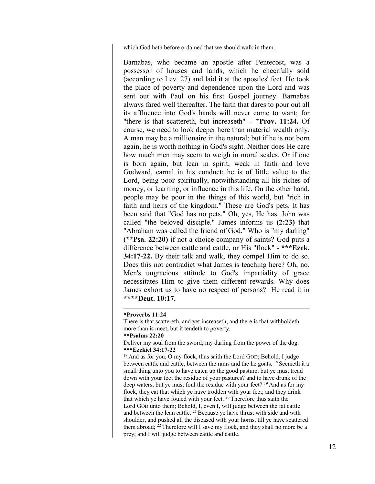which God hath before ordained that we should walk in them.

Barnabas, who became an apostle after Pentecost, was a possessor of houses and lands, which he cheerfully sold (according to Lev. 27) and laid it at the apostles' feet. He took the place of poverty and dependence upon the Lord and was sent out with Paul on his first Gospel journey. Barnabas always fared well thereafter. The faith that dares to pour out all its affluence into God's hands will never come to want; for "there is that scattereth, but increaseth" – **\*Prov. 11:24.** Of course, we need to look deeper here than material wealth only. A man may be a millionaire in the natural; but if he is not born again, he is worth nothing in God's sight. Neither does He care how much men may seem to weigh in moral scales. Or if one is born again, but lean in spirit, weak in faith and love Godward, carnal in his conduct; he is of little value to the Lord, being poor spiritually, notwithstanding all his riches of money, or learning, or influence in this life. On the other hand, people may be poor in the things of this world, but "rich in faith and heirs of the kingdom." These are God's pets. It has been said that "God has no pets." Oh, yes, He has. John was called "the beloved disciple." James informs us **(2:23)** that "Abraham was called the friend of God." Who is "my darling" **(\*\*Psa. 22:20)** if not a choice company of saints? God puts a difference between cattle and cattle, or His "flock" - **\*\*\*Ezek. 34:17-22.** By their talk and walk, they compel Him to do so. Does this not contradict what James is teaching here? Oh, no. Men's ungracious attitude to God's impartiality of grace necessitates Him to give them different rewards. Why does James exhort us to have no respect of persons? He read it in **\*\*\*\*Deut. 10:17**,

#### **\*Proverbs 11:24**

There is that scattereth, and yet increaseth; and there is that withholdeth more than is meet, but it tendeth to poverty.

#### **\*\*Psalms 22:20**

Deliver my soul from the sword; my darling from the power of the dog. **\*\*\*Ezekiel 34:17-22**

<sup>17</sup> And as for you, O my flock, thus saith the Lord GOD; Behold, I judge between cattle and cattle, between the rams and the he goats. <sup>18</sup> Seemeth it a small thing unto you to have eaten up the good pasture, but ye must tread down with your feet the residue of your pastures? and to have drunk of the deep waters, but ye must foul the residue with your feet? <sup>19</sup> And as for my flock, they eat that which ye have trodden with your feet; and they drink that which ye have fouled with your feet. <sup>20</sup> Therefore thus saith the Lord GOD unto them; Behold, I, even I, will judge between the fat cattle and between the lean cattle. <sup>21</sup> Because ye have thrust with side and with shoulder, and pushed all the diseased with your horns, till ye have scattered them abroad;  $^{22}$  Therefore will I save my flock, and they shall no more be a prey; and I will judge between cattle and cattle.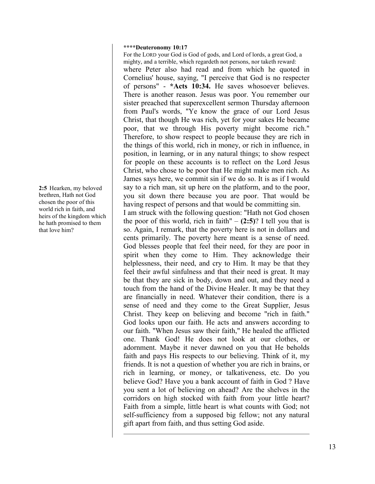#### **\*\*\*\*Deuteronomy 10:17**

For the LORD your God is God of gods, and Lord of lords, a great God, a mighty, and a terrible, which regardeth not persons, nor taketh reward: where Peter also had read and from which he quoted in Cornelius' house, saying, "I perceive that God is no respecter of persons" - **\*Acts 10:34.** He saves whosoever believes. There is another reason. Jesus was poor. You remember our sister preached that superexcellent sermon Thursday afternoon from Paul's words, "Ye know the grace of our Lord Jesus Christ, that though He was rich, yet for your sakes He became poor, that we through His poverty might become rich." Therefore, to show respect to people because they are rich in the things of this world, rich in money, or rich in influence, in position, in learning, or in any natural things; to show respect for people on these accounts is to reflect on the Lord Jesus Christ, who chose to be poor that He might make men rich. As James says here, we commit sin if we do so. It is as if I would say to a rich man, sit up here on the platform, and to the poor, you sit down there because you are poor. That would be having respect of persons and that would be committing sin.

I am struck with the following question: "Hath not God chosen the poor of this world, rich in faith"  $-$  (2:5)? I tell you that is so. Again, I remark, that the poverty here is not in dollars and cents primarily. The poverty here meant is a sense of need. God blesses people that feel their need, for they are poor in spirit when they come to Him. They acknowledge their helplessness, their need, and cry to Him. It may be that they feel their awful sinfulness and that their need is great. It may be that they are sick in body, down and out, and they need a touch from the hand of the Divine Healer. It may be that they are financially in need. Whatever their condition, there is a sense of need and they come to the Great Supplier, Jesus Christ. They keep on believing and become "rich in faith." God looks upon our faith. He acts and answers according to our faith. "When Jesus saw their faith," He healed the afflicted one. Thank God! He does not look at our clothes, or adornment. Maybe it never dawned on you that He beholds faith and pays His respects to our believing. Think of it, my friends. It is not a question of whether you are rich in brains, or rich in learning, or money, or talkativeness, etc. Do you believe God? Have you a bank account of faith in God ? Have you sent a lot of believing on ahead? Are the shelves in the corridors on high stocked with faith from your little heart? Faith from a simple, little heart is what counts with God; not self-sufficiency from a supposed big fellow; not any natural gift apart from faith, and thus setting God aside.

**2:5** Hearken, my beloved brethren, Hath not God chosen the poor of this world rich in faith, and heirs of the kingdom which he hath promised to them that love him?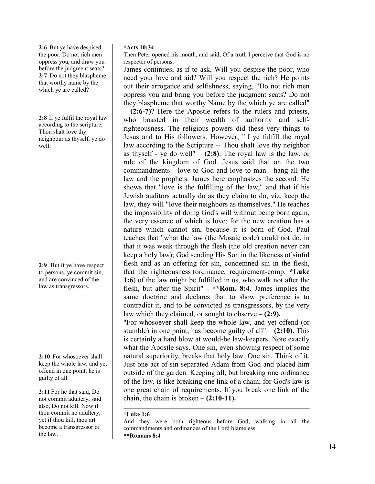**2:6** But ye have despised the poor. Do not rich men oppress you, and draw you before the judgment seats? **2:7** Do not they blaspheme that worthy name by the which ye are called?

**2:8** If ye fulfil the royal law according to the scripture, Thou shalt love thy neighbour as thyself, ye do well:

**2:9** But if ye have respect to persons, ye commit sin, and are convinced of the law as transgressors.

**2:10** For whosoever shall keep the whole law, and yet offend in one point, he is guilty of all.

**2:11** For he that said, Do not commit adultery, said also, Do not kill. Now if thou commit no adultery, yet if thou kill, thou art become a transgressor of the law.

## **\*Acts 10:34**

Then Peter opened his mouth, and said, Of a truth I perceive that God is no respecter of persons:

James continues, as if to ask, Will you despise the poor, who need your love and aid? Will you respect the rich? He points out their arrogance and selfishness, saying, "Do not rich men oppress you and bring you before the judgment seats? Do not they blaspheme that worthy Name by the which ye are called" – **(2:6-7)**? Here the Apostle refers to the rulers and priests, who boasted in their wealth of authority and selfrighteousness. The religious powers did these very things to Jesus and to His followers. However, "if ye fulfill the royal law according to the Scripture -- Thou shalt love thy neighbor as thyself - ye do well" – **(2:8)**. The royal law is the law, or rule of the kingdom of God. Jesus said that on the two commandments - love to God and love to man - hang all the law and the prophets. James here emphasizes the second. He shows that "love is the fulfilling of the law," and that if his Jewish auditors actually do as they claim to do, viz, keep the law, they will "love their neighbors as themselves." He teaches the impossibility of doing God's will without being born again, the very essence of which is love; for the new creation has a nature which cannot sin, because it is born of God. Paul teaches that "what the law (the Mosaic code) could not do, in that it was weak through the flesh (the old creation never can keep a holy law); God sending His Son in the likeness of sinful flesh and as an offering for sin, condemned sin in the flesh, that the righteousness (ordinance, requirement-comp. **\*Luke 1:6**) of the law might be fulfilled in us, who walk not after the flesh, but after the Spirit" - **\*\*Rom. 8:4**. James implies the same doctrine and declares that to show preference is to contradict it, and to be convicted as transgressors, by the very law which they claimed, or sought to observe – **(2:9).** "For whosoever shall keep the whole law, and yet offend (or stumble) in one point, has become guilty of all" – **(2:10).** This is certainly a hard blow at would-be law-keepers. Note exactly

what the Apostle says. One sin, even showing respect of some natural superiority, breaks that holy law. One sin. Think of it. Just one act of sin separated Adam from God and placed him outside of the garden. Keeping all, but breaking one ordinance of the law, is like breaking one link of a chain; for God's law is one great chain of requirements. If you break one link of the chain, the chain is broken – **(2:10-11).**

**<sup>\*</sup>Luke 1:6**

And they were both righteous before God, walking in all the commandments and ordinances of the Lord blameless.

**<sup>\*\*</sup>Romans 8:4**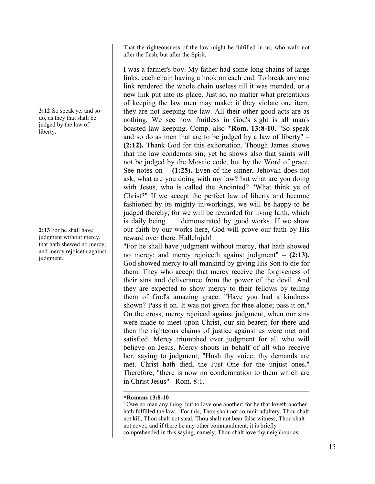**2:12** So speak ye, and so do, as they that shall be

judged by the law of liberty.

**2:13** For he shall have judgment without mercy, that hath shewed no mercy; and mercy rejoiceth against judgment.

That the righteousness of the law might be fulfilled in us, who walk not after the flesh, but after the Spirit.

I was a farmer's boy. My father had some long chains of large links, each chain having a hook on each end. To break any one link rendered the whole chain useless till it was mended, or a new link put into its place. Just so, no matter what pretentions of keeping the law men may make; if they violate one item, they are not keeping the law. All their other good acts are as nothing. We see how fruitless in God's sight is all man's boasted law keeping. Comp. also **\*Rom. 13:8-10.** "So speak and so do as men that are to be judged by a law of liberty" – **(2:12).** Thank God for this exhortation. Though James shows that the law condemns sin; yet he shows also that saints will not be judged by the Mosaic code, but by the Word of grace. See notes on  $-$  (1:25). Even of the sinner, Jehovah does not ask, what are you doing with my law? but what are you doing with Jesus, who is called the Anointed? "What think ye of Christ?" If we accept the perfect law of liberty and become fashioned by its mighty in-workings, we will be happy to be judged thereby; for we will be rewarded for living faith, which is daily being demonstrated by good works. If we show our faith by our works here, God will prove our faith by His reward over there. Hallelujah!

"For he shall have judgment without mercy, that hath showed no mercy: and mercy rejoiceth against judgment" – **(2:13).** God showed mercy to all mankind by giving His Son to die for them. They who accept that mercy receive the forgiveness of their sins and deliverance from the power of the devil. And they are expected to show mercy to their fellows by telling them of God's amazing grace. "Have you had a kindness shown? Pass it on. It was not given for thee alone; pass it on." On the cross, mercy rejoiced against judgment, when our sins were made to meet upon Christ, our sin-bearer; for there and then the righteous claims of justice against us were met and satisfied. Mercy triumphed over judgment for all who will believe on Jesus. Mercy shouts in behalf of all who receive her, saying to judgment, "Hush thy voice; thy demands are met. Christ hath died, the Just One for the unjust ones." Therefore, "there is now no condemnation to them which are in Christ Jesus" - Rom. 8:1.

## **\*Romans 13:8-10**

<sup>8</sup> Owe no man any thing, but to love one another: for he that loveth another hath fulfilled the law. <sup>9</sup> For this, Thou shalt not commit adultery, Thou shalt not kill, Thou shalt not steal, Thou shalt not bear false witness, Thou shalt not covet; and if there be any other commandment, it is briefly comprehended in this saying, namely, Thou shalt love thy neighbour as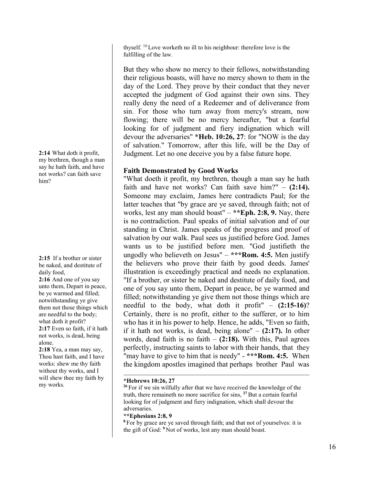thyself. <sup>10</sup> Love worketh no ill to his neighbour: therefore love is the fulfilling of the law.

But they who show no mercy to their fellows, notwithstanding their religious boasts, will have no mercy shown to them in the day of the Lord. They prove by their conduct that they never accepted the judgment of God against their own sins. They really deny the need of a Redeemer and of deliverance from sin. For those who turn away from mercy's stream, now flowing; there will be no mercy hereafter, "but a fearful looking for of judgment and fiery indignation which will devour the adversaries" **\*Heb. 10:26, 27**: for "NOW is the day of salvation." Tomorrow, after this life, will be the Day of Judgment. Let no one deceive you by a false future hope.

# **Faith Demonstrated by Good Works**

"What doeth it profit, my brethren, though a man say he hath faith and have not works? Can faith save him?" – **(2:14).** Someone may exclaim, James here contradicts Paul; for the latter teaches that "by grace are ye saved, through faith; not of works, lest any man should boast" – **\*\*Eph. 2:8, 9.** Nay, there is no contradiction. Paul speaks of initial salvation and of our standing in Christ. James speaks of the progress and proof of salvation by our walk. Paul sees us justified before God. James wants us to be justified before men. "God justifieth the ungodly who believeth on Jesus" – **\*\*\*Rom. 4:5.** Men justify the believers who prove their faith by good deeds. James' illustration is exceedingly practical and needs no explanation. "If a brother, or sister be naked and destitute of daily food, and one of you say unto them, Depart in peace, be ye warmed and filled; notwithstanding ye give them not those things which are needful to the body, what doth it profit" – **(2:15-16)**? Certainly, there is no profit, either to the sufferer, or to him who has it in his power to help. Hence, he adds, "Even so faith, if it hath not works, is dead, being alone" – **(2:17).** In other words, dead faith is no faith – **(2:18).** With this, Paul agrees perfectly, instructing saints to labor with their hands, that they "may have to give to him that is needy" - **\*\*\*Rom. 4:5.** When the kingdom apostles imagined that perhaps brother Paul was

## **\*Hebrews 10:26, 27**

**<sup>26</sup>** For if we sin wilfully after that we have received the knowledge of the truth, there remaineth no more sacrifice for sins, **<sup>27</sup>** But a certain fearful looking for of judgment and fiery indignation, which shall devour the adversaries.

## **\*\*Ephesians 2:8, 9**

**<sup>8</sup>** For by grace are ye saved through faith; and that not of yourselves: it is the gift of God: **<sup>9</sup>** Not of works, lest any man should boast.

**2:14** What doth it profit, my brethren, though a man say he hath faith, and have not works? can faith save him?

**2:15** If a brother or sister be naked, and destitute of daily food,

**2:16** And one of you say unto them, Depart in peace, be ye warmed and filled; notwithstanding ye give them not those things which are needful to the body; what doth it profit? **2:17** Even so faith, if it hath not works, is dead, being alone.

**2:18** Yea, a man may say, Thou hast faith, and I have works: shew me thy faith without thy works, and I will shew thee my faith by my works.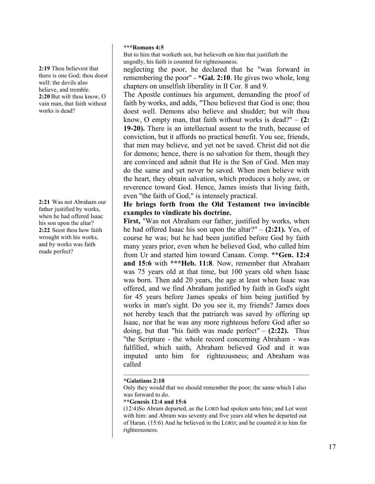**2:19** Thou believest that there is one God; thou doest well: the devils also believe, and tremble. **2:20**But wilt thou know, O vain man, that faith without works is dead?

**2:21** Was not Abraham our father justified by works, when he had offered Isaac his son upon the altar? **2:22** Seest thou how faith wrought with his works, and by works was faith made perfect?

## **\*\*\*Romans 4:5**

But to him that worketh not, but believeth on him that justifieth the ungodly, his faith is counted for righteousness.

neglecting the poor, he declared that he "was forward in remembering the poor" - **\*Gal. 2:10**. He gives two whole, long chapters on unselfish liberality in II Cor. 8 and 9.

The Apostle continues his argument, demanding the proof of faith by works, and adds, "Thou believest that God is one; thou doest well. Demons also believe and shudder; but wilt thou know, O empty man, that faith without works is dead?" – **(2: 19-20).** There is an intellectual assent to the truth, because of conviction, but it affords no practical benefit. You see, friends, that men may believe, and yet not be saved. Christ did not die for demons; hence, there is no salvation for them, though they are convinced and admit that He is the Son of God. Men may do the same and yet never be saved. When men believe with the heart, they obtain salvation, which produces a holy awe, or reverence toward God. Hence, James insists that living faith, even "the faith of God," is intensely practical.

# **He brings forth from the Old Testament two invincible examples to vindicate his doctrine.**

**First,** "Was not Abraham our father, justified by works, when he had offered Isaac his son upon the altar?" – **(2:21).** Yes, of course he was; but he had been justified before God by faith many years prior, even when he believed God, who called him from Ur and started him toward Canaan. Comp. **\*\*Gen. 12:4 and 15:6** with **\*\*\*Heb. 11:8**. Now, remember that Abraham was 75 years old at that time, but 100 years old when Isaac was born. Then add 20 years, the age at least when Isaac was offered, and we find Abraham justified by faith in God's sight for 45 years before James speaks of him being justified by works in man's sight. Do you see it, my friends? James does not hereby teach that the patriarch was saved by offering up Isaac, nor that he was any more righteous before God after so doing, but that "his faith was made perfect" – **(2:22).** Thus "the Scripture - the whole record concerning Abraham - was fulfilled, which saith, Abraham believed God and it was imputed unto him for righteousness; and Abraham was called

## **\*Galatians 2:10**

Only they would that we should remember the poor; the same which I also was forward to do.

#### **\*\*Genesis 12:4 and 15:6**

(12:4)So Abram departed, as the LORD had spoken unto him; and Lot went with him: and Abram was seventy and five years old when he departed out of Haran. (15:6) And he believed in the LORD; and he counted it to him for righteousness.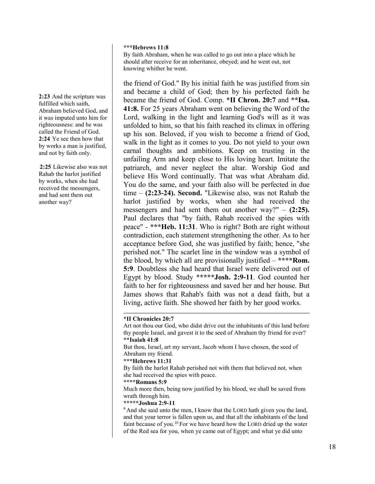#### **\*\*\*Hebrews 11:8**

By faith Abraham, when he was called to go out into a place which he should after receive for an inheritance, obeyed; and he went out, not knowing whither he went.

the friend of God." By his initial faith he was justified from sin and became a child of God; then by his perfected faith he became the friend of God. Comp. **\*II Chron. 20:7** and **\*\*Isa. 41:8.** For 25 years Abraham went on believing the Word of the Lord, walking in the light and learning God's will as it was unfolded to him, so that his faith reached its climax in offering up his son. Beloved, if you wish to become a friend of God, walk in the light as it comes to you. Do not yield to your own carnal thoughts and ambitions. Keep on trusting in the unfailing Arm and keep close to His loving heart. Imitate the patriarch, and never neglect the altar. Worship God and believe His Word continually. That was what Abraham did. You do the same, and your faith also will be perfected in due time – **(2:23-24). Second.** "Likewise also, was not Rahab the harlot justified by works, when she had received the messengers and had sent them out another way?" – **(2:25).** Paul declares that "by faith, Rahab received the spies with peace" - **\*\*\*Heb. 11:31**. Who is right? Both are right without contradiction, each statement strengthening the other. As to her acceptance before God, she was justified by faith; hence, "she perished not." The scarlet line in the window was a symbol of the blood, by which all are provisionally justified – **\*\*\*\*Rom. 5:9**. Doubtless she had heard that Israel were delivered out of Egypt by blood. Study **\*\*\*\*\*Josh. 2:9-11**. God counted her faith to her for righteousness and saved her and her house. But James shows that Rahab's faith was not a dead faith, but a living, active faith. She showed her faith by her good works.

## **\*II Chronicles 20:7**

Art not thou our God, who didst drive out the inhabitants of this land before thy people Israel, and gavest it to the seed of Abraham thy friend for ever? **\*\*Isaiah 41:8**

**\*\*\*Hebrews 11:31**

By faith the harlot Rahab perished not with them that believed not, when she had received the spies with peace.

#### **\*\*\*\*Romans 5:9**

Much more then, being now justified by his blood, we shall be saved from wrath through him.

#### **\*\*\*\*\*Joshua 2:9-11**

<sup>9</sup> And she said unto the men, I know that the LORD hath given you the land, and that your terror is fallen upon us, and that all the inhabitants of the land faint because of you.<sup>10</sup> For we have heard how the LORD dried up the water of the Red sea for you, when ye came out of Egypt; and what ye did unto

**2:23** And the scripture was fulfilled which saith, Abraham believed God, and it was imputed unto him for righteousness: and he was called the Friend of God. **2:24** Ye see then how that by works a man is justified, and not by faith only.

**2:25** Likewise also was not Rahab the harlot justified by works, when she had received the messengers, and had sent them out another way?

But thou, Israel, art my servant, Jacob whom I have chosen, the seed of Abraham my friend.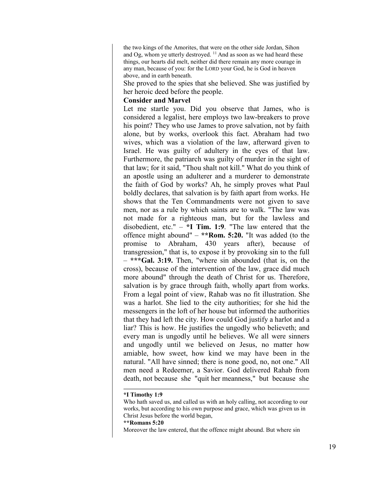the two kings of the Amorites, that were on the other side Jordan, Sihon and Og, whom ye utterly destroyed.  $11$  And as soon as we had heard these things, our hearts did melt, neither did there remain any more courage in any man, because of you: for the LORD your God, he is God in heaven above, and in earth beneath.

She proved to the spies that she believed. She was justified by her heroic deed before the people.

# **Consider and Marvel**

Let me startle you. Did you observe that James, who is considered a legalist, here employs two law-breakers to prove his point? They who use James to prove salvation, not by faith alone, but by works, overlook this fact. Abraham had two wives, which was a violation of the law, afterward given to Israel. He was guilty of adultery in the eyes of that law. Furthermore, the patriarch was guilty of murder in the sight of that law; for it said, "Thou shalt not kill." What do you think of an apostle using an adulterer and a murderer to demonstrate the faith of God by works? Ah, he simply proves what Paul boldly declares, that salvation is by faith apart from works. He shows that the Ten Commandments were not given to save men, nor as a rule by which saints are to walk. "The law was not made for a righteous man, but for the lawless and disobedient, etc." – **\*I Tim. 1:9**. "The law entered that the offence might abound" – **\*\*Rom. 5:20.** "It was added (to the promise to Abraham, 430 years after), because of transgression," that is, to expose it by provoking sin to the full – **\*\*\*Gal. 3:19.** Then, "where sin abounded (that is, on the cross), because of the intervention of the law, grace did much more abound" through the death of Christ for us. Therefore, salvation is by grace through faith, wholly apart from works. From a legal point of view, Rahab was no fit illustration. She was a harlot. She lied to the city authorities; for she hid the messengers in the loft of her house but informed the authorities that they had left the city. How could God justify a harlot and a liar? This is how. He justifies the ungodly who believeth; and every man is ungodly until he believes. We all were sinners and ungodly until we believed on Jesus, no matter how amiable, how sweet, how kind we may have been in the natural. "All have sinned; there is none good, no, not one." All men need a Redeemer, a Savior. God delivered Rahab from death, not because she "quit her meanness," but because she

#### **\*I Timothy 1:9**

Who hath saved us, and called us with an holy calling, not according to our works, but according to his own purpose and grace, which was given us in Christ Jesus before the world began,

#### **\*\*Romans 5:20**

Moreover the law entered, that the offence might abound. But where sin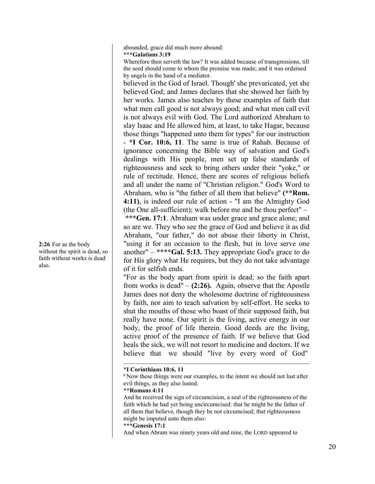abounded, grace did much more abound: **\*\*\*Galatians 3:19**

Wherefore then serveth the law? It was added because of transgressions, till the seed should come to whom the promise was made; and it was ordained by angels in the hand of a mediator.

believed in the God of Israel. Though' she prevaricated, yet she believed God; and James declares that she showed her faith by her works. James also teaches by these examples of faith that what men call good is not always good; and what men call evil is not always evil with God. The Lord authorized Abraham to slay Isaac and He allowed him, at least, to take Hagar, because those things "happened unto them for types" for our instruction - **\*I Cor. 10:6, 11**. The same is true of Rahab. Because of ignorance concerning the Bible way of salvation and God's dealings with His people, men set up false standards of righteousness and seek to bring others under their "yoke," or rule of rectitude. Hence, there are scores of religious beliefs and all under the name of "Christian religion." God's Word to Abraham, who is "the father of all them that believe" **(\*\*Rom. 4:11)**, is indeed our rule of action - "I am the Almighty God (the One all-sufficient); walk before me and be thou perfect" – **\*\*\*Gen. 17:1**. Abraham was under grace and grace alone; and so are we. They who see the grace of God and believe it as did Abraham, "our father," do not abuse their liberty in Christ, "using it for an occasion to the flesh, but in love serve one another" – **\*\*\*\*Gal. 5:13.** They appropriate God's grace to do for His glory what He requires, but they do not take advantage of it for selfish ends.

"For as the body apart from spirit is dead; so the faith apart from works is dead" – **(2:26).** Again, observe that the Apostle James does not deny the wholesome doctrine of righteousness by faith, nor aim to teach salvation by self-effort. He seeks to shut the mouths of those who boast of their supposed faith, but really have none. Our spirit is the living, active energy in our body, the proof of life therein. Good deeds are the living, active proof of the presence of faith. If we believe that God heals the sick, we will not resort to medicine and doctors. If we believe that we should "live by every word of God"

#### **\*I Corinthians 10:6, 11**

## **\*\*Romans 4:11**

And he received the sign of circumcision, a seal of the righteousness of the faith which he had yet being uncircumcised: that he might be the father of all them that believe, though they be not circumcised; that righteousness might be imputed unto them also:

**\*\*\*Genesis 17:1**

**2:26** For as the body without the spirit is dead, so faith without works is dead also.

<sup>&</sup>lt;sup>6</sup> Now these things were our examples, to the intent we should not lust after evil things, as they also lusted.

And when Abram was ninety years old and nine, the LORD appeared to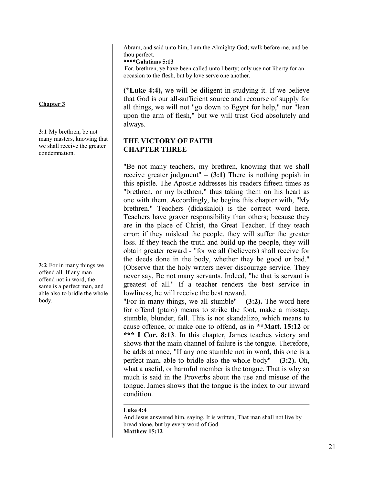Abram, and said unto him, I am the Almighty God; walk before me, and be thou perfect.

**\*\*\*\*Galatians 5:13**

For, brethren, ye have been called unto liberty; only use not liberty for an occasion to the flesh, but by love serve one another.

**(\*Luke 4:4),** we will be diligent in studying it. If we believe that God is our all-sufficient source and recourse of supply for all things, we will not "go down to Egypt for help," nor "lean upon the arm of flesh," but we will trust God absolutely and always.

# **THE VICTORY OF FAITH CHAPTER THREE**

"Be not many teachers, my brethren, knowing that we shall receive greater judgment"  $-$  (3:1) There is nothing popish in this epistle. The Apostle addresses his readers fifteen times as "brethren, or my brethren," thus taking them on his heart as one with them. Accordingly, he begins this chapter with, "My brethren." Teachers (didaskaloi) is the correct word here. Teachers have graver responsibility than others; because they are in the place of Christ, the Great Teacher. If they teach error; if they mislead the people, they will suffer the greater loss. If they teach the truth and build up the people, they will obtain greater reward - "for we all (believers) shall receive for the deeds done in the body, whether they be good or bad." (Observe that the holy writers never discourage service. They never say, Be not many servants. Indeed, "he that is servant is greatest of all." If a teacher renders the best service in lowliness, he will receive the best reward.

"For in many things, we all stumble" – **(3:2).** The word here for offend (ptaio) means to strike the foot, make a misstep, stumble, blunder, fall. This is not skandalizo, which means to cause offence, or make one to offend, as in **\*\*Matt. 15:12** or **\*\*\* I Cor. 8:13**. In this chapter, James teaches victory and shows that the main channel of failure is the tongue. Therefore, he adds at once, "If any one stumble not in word, this one is a perfect man, able to bridle also the whole body" – **(3:2).** Oh, what a useful, or harmful member is the tongue. That is why so much is said in the Proverbs about the use and misuse of the tongue. James shows that the tongue is the index to our inward condition.

## **Luke 4:4**

And Jesus answered him, saying, It is written, That man shall not live by bread alone, but by every word of God. **Matthew 15:12**

# **Chapter 3**

**3:1** My brethren, be not many masters, knowing that we shall receive the greater condemnation.

**3:2** For in many things we offend all. If any man offend not in word, the same is a perfect man, and able also to bridle the whole body.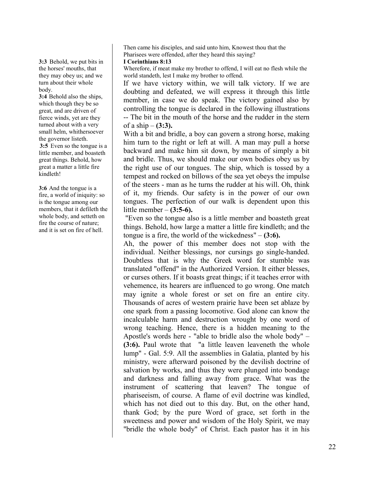**3:3** Behold, we put bits in the horses' mouths, that they may obey us; and we turn about their whole body.

**3:4** Behold also the ships, which though they be so great, and are driven of fierce winds, yet are they turned about with a very small helm, whithersoever the governor listeth. **3:5** Even so the tongue is a little member, and boasteth

great things. Behold, how great a matter a little fire kindleth!

**3:6** And the tongue is a fire, a world of iniquity: so is the tongue among our members, that it defileth the whole body, and setteth on fire the course of nature; and it is set on fire of hell.

Then came his disciples, and said unto him, Knowest thou that the Pharisees were offended, after they heard this saying?

#### **I Corinthians 8:13**

Wherefore, if meat make my brother to offend, I will eat no flesh while the world standeth, lest I make my brother to offend.

If we have victory within, we will talk victory. If we are doubting and defeated, we will express it through this little member, in case we do speak. The victory gained also by controlling the tongue is declared in the following illustrations -- The bit in the mouth of the horse and the rudder in the stern of a ship – **(3:3).**

With a bit and bridle, a boy can govern a strong horse, making him turn to the right or left at will. A man may pull a horse backward and make him sit down, by means of simply a bit and bridle. Thus, we should make our own bodies obey us by the right use of our tongues. The ship, which is tossed by a tempest and rocked on billows of the sea yet obeys the impulse of the steers - man as he turns the rudder at his will. Oh, think of it, my friends. Our safety is in the power of our own tongues. The perfection of our walk is dependent upon this little member – **(3:5-6).**

"Even so the tongue also is a little member and boasteth great things. Behold, how large a matter a little fire kindleth; and the tongue is a fire, the world of the wickedness" – **(3:6).**

Ah, the power of this member does not stop with the individual. Neither blessings, nor cursings go single-handed. Doubtless that is why the Greek word for stumble was translated "offend" in the Authorized Version. It either blesses, or curses others. If it boasts great things; if it teaches error with vehemence, its hearers are influenced to go wrong. One match may ignite a whole forest or set on fire an entire city. Thousands of acres of western prairie have been set ablaze by one spark from a passing locomotive. God alone can know the incalculable harm and destruction wrought by one word of wrong teaching. Hence, there is a hidden meaning to the Apostle's words here - "able to bridle also the whole body" – **(3:6).** Paul wrote that "a little leaven leaveneth the whole lump" - Gal. 5:9. All the assemblies in Galatia, planted by his ministry, were afterward poisoned by the devilish doctrine of salvation by works, and thus they were plunged into bondage and darkness and falling away from grace. What was the instrument of scattering that leaven? The tongue of phariseeism, of course. A flame of evil doctrine was kindled, which has not died out to this day. But, on the other hand, thank God; by the pure Word of grace, set forth in the sweetness and power and wisdom of the Holy Spirit, we may "bridle the whole body" of Christ. Each pastor has it in his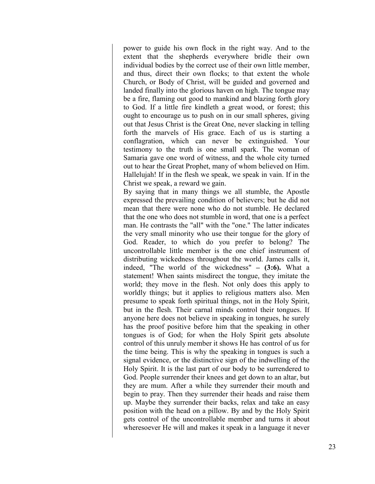power to guide his own flock in the right way. And to the extent that the shepherds everywhere bridle their own individual bodies by the correct use of their own little member, and thus, direct their own flocks; to that extent the whole Church, or Body of Christ, will be guided and governed and landed finally into the glorious haven on high. The tongue may be a fire, flaming out good to mankind and blazing forth glory to God. If a little fire kindleth a great wood, or forest; this ought to encourage us to push on in our small spheres, giving out that Jesus Christ is the Great One, never slacking in telling forth the marvels of His grace. Each of us is starting a conflagration, which can never be extinguished. Your testimony to the truth is one small spark. The woman of Samaria gave one word of witness, and the whole city turned out to hear the Great Prophet, many of whom believed on Him. Hallelujah! If in the flesh we speak, we speak in vain. If in the Christ we speak, a reward we gain.

By saying that in many things we all stumble, the Apostle expressed the prevailing condition of believers; but he did not mean that there were none who do not stumble. He declared that the one who does not stumble in word, that one is a perfect man. He contrasts the "all" with the "one." The latter indicates the very small minority who use their tongue for the glory of God. Reader, to which do you prefer to belong? The uncontrollable little member is the one chief instrument of distributing wickedness throughout the world. James calls it, indeed, "The world of the wickedness" **– (3:6).** What a statement! When saints misdirect the tongue, they imitate the world; they move in the flesh. Not only does this apply to worldly things; but it applies to religious matters also. Men presume to speak forth spiritual things, not in the Holy Spirit, but in the flesh. Their carnal minds control their tongues. If anyone here does not believe in speaking in tongues, he surely has the proof positive before him that the speaking in other tongues is of God; for when the Holy Spirit gets absolute control of this unruly member it shows He has control of us for the time being. This is why the speaking in tongues is such a signal evidence, or the distinctive sign of the indwelling of the Holy Spirit. It is the last part of our body to be surrendered to God. People surrender their knees and get down to an altar, but they are mum. After a while they surrender their mouth and begin to pray. Then they surrender their heads and raise them up. Maybe they surrender their backs, relax and take an easy position with the head on a pillow. By and by the Holy Spirit gets control of the uncontrollable member and turns it about wheresoever He will and makes it speak in a language it never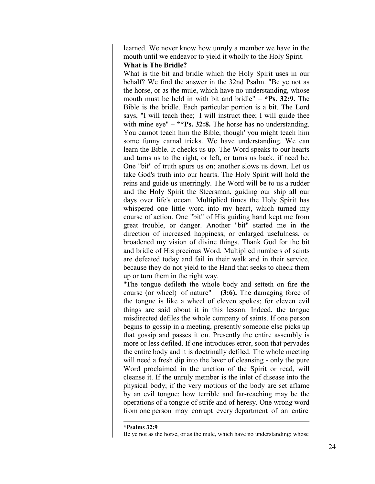learned. We never know how unruly a member we have in the mouth until we endeavor to yield it wholly to the Holy Spirit.

# **What is The Bridle?**

What is the bit and bridle which the Holy Spirit uses in our behalf? We find the answer in the 32nd Psalm. "Be ye not as the horse, or as the mule, which have no understanding, whose mouth must be held in with bit and bridle" – **\*Ps. 32:9.** The Bible is the bridle. Each particular portion is a bit. The Lord says, "I will teach thee; I will instruct thee; I will guide thee with mine eye" – **\*\*Ps. 32:8.** The horse has no understanding. You cannot teach him the Bible, though' you might teach him some funny carnal tricks. We have understanding. We can learn the Bible. It checks us up. The Word speaks to our hearts and turns us to the right, or left, or turns us back, if need be. One "bit" of truth spurs us on; another slows us down. Let us take God's truth into our hearts. The Holy Spirit will hold the reins and guide us unerringly. The Word will be to us a rudder and the Holy Spirit the Steersman, guiding our ship all our days over life's ocean. Multiplied times the Holy Spirit has whispered one little word into my heart, which turned my course of action. One "bit" of His guiding hand kept me from great trouble, or danger. Another "bit" started me in the direction of increased happiness, or enlarged usefulness, or broadened my vision of divine things. Thank God for the bit and bridle of His precious Word. Multiplied numbers of saints are defeated today and fail in their walk and in their service, because they do not yield to the Hand that seeks to check them up or turn them in the right way.

"The tongue defileth the whole body and setteth on fire the course (or wheel) of nature" – **(3:6).** The damaging force of the tongue is like a wheel of eleven spokes; for eleven evil things are said about it in this lesson. Indeed, the tongue misdirected defiles the whole company of saints. If one person begins to gossip in a meeting, presently someone else picks up that gossip and passes it on. Presently the entire assembly is more or less defiled. If one introduces error, soon that pervades the entire body and it is doctrinally defiled. The whole meeting will need a fresh dip into the laver of cleansing - only the pure Word proclaimed in the unction of the Spirit or read, will cleanse it. If the unruly member is the inlet of disease into the physical body; if the very motions of the body are set aflame by an evil tongue: how terrible and far-reaching may be the operations of a tongue of strife and of heresy. One wrong word from one person may corrupt every department of an entire

**<sup>\*</sup>Psalms 32:9** Be ye not as the horse, or as the mule, which have no understanding: whose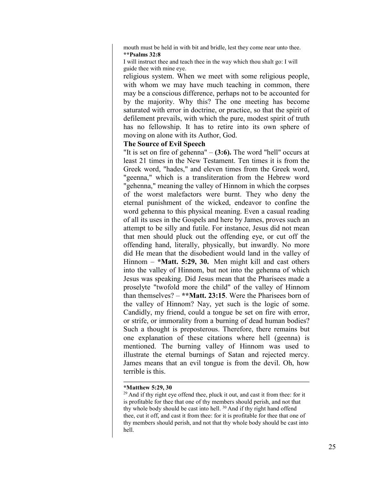mouth must be held in with bit and bridle, lest they come near unto thee. **\*\*Psalms 32:8**

I will instruct thee and teach thee in the way which thou shalt go: I will guide thee with mine eye.

religious system. When we meet with some religious people, with whom we may have much teaching in common, there may be a conscious difference, perhaps not to be accounted for by the majority. Why this? The one meeting has become saturated with error in doctrine, or practice, so that the spirit of defilement prevails, with which the pure, modest spirit of truth has no fellowship. It has to retire into its own sphere of moving on alone with its Author, God.

## **The Source of Evil Speech**

"It is set on fire of gehenna" – **(3:6).** The word "hell" occurs at least 21 times in the New Testament. Ten times it is from the Greek word, "hades," and eleven times from the Greek word, "geenna," which is a transliteration from the Hebrew word "gehenna," meaning the valley of Hinnom in which the corpses of the worst malefactors were burnt. They who deny the eternal punishment of the wicked, endeavor to confine the word gehenna to this physical meaning. Even a casual reading of all its uses in the Gospels and here by James, proves such an attempt to be silly and futile. For instance, Jesus did not mean that men should pluck out the offending eye, or cut off the offending hand, literally, physically, but inwardly. No more did He mean that the disobedient would land in the valley of Hinnom – **\*Matt. 5:29, 30.** Men might kill and cast others into the valley of Hinnom, but not into the gehenna of which Jesus was speaking. Did Jesus mean that the Pharisees made a proselyte "twofold more the child" of the valley of Hinnom than themselves? – **\*\*Matt. 23:15**. Were the Pharisees born of the valley of Hinnom? Nay, yet such is the logic of some. Candidly, my friend, could a tongue be set on fire with error, or strife, or immorality from a burning of dead human bodies? Such a thought is preposterous. Therefore, there remains but one explanation of these citations where hell (geenna) is mentioned. The burning valley of Hinnom was used to illustrate the eternal burnings of Satan and rejected mercy. James means that an evil tongue is from the devil. Oh, how terrible is this.

#### **\*Matthew 5:29, 30**

<sup>29</sup> And if thy right eye offend thee, pluck it out, and cast it from thee: for it is profitable for thee that one of thy members should perish, and not that thy whole body should be cast into hell.<sup>30</sup> And if thy right hand offend thee, cut it off, and cast it from thee: for it is profitable for thee that one of thy members should perish, and not that thy whole body should be cast into hell.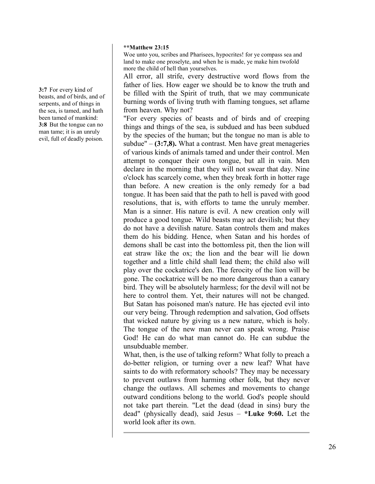#### **\*\*Matthew 23:15**

Woe unto you, scribes and Pharisees, hypocrites! for ye compass sea and land to make one proselyte, and when he is made, ye make him twofold more the child of hell than yourselves.

All error, all strife, every destructive word flows from the father of lies. How eager we should be to know the truth and be filled with the Spirit of truth, that we may communicate burning words of living truth with flaming tongues, set aflame from heaven. Why not?

"For every species of beasts and of birds and of creeping things and things of the sea, is subdued and has been subdued by the species of the human; but the tongue no man is able to subdue"  $-$  (3:7,8). What a contrast. Men have great menageries of various kinds of animals tamed and under their control. Men attempt to conquer their own tongue, but all in vain. Men declare in the morning that they will not swear that day. Nine o'clock has scarcely come, when they break forth in hotter rage than before. A new creation is the only remedy for a bad tongue. It has been said that the path to hell is paved with good resolutions, that is, with efforts to tame the unruly member. Man is a sinner. His nature is evil. A new creation only will produce a good tongue. Wild beasts may act devilish; but they do not have a devilish nature. Satan controls them and makes them do his bidding. Hence, when Satan and his hordes of demons shall be cast into the bottomless pit, then the lion will eat straw like the ox; the lion and the bear will lie down together and a little child shall lead them; the child also will play over the cockatrice's den. The ferocity of the lion will be gone. The cockatrice will be no more dangerous than a canary bird. They will be absolutely harmless; for the devil will not be here to control them. Yet, their natures will not be changed. But Satan has poisoned man's nature. He has ejected evil into our very being. Through redemption and salvation, God offsets that wicked nature by giving us a new nature, which is holy. The tongue of the new man never can speak wrong. Praise God! He can do what man cannot do. He can subdue the unsubduable member.

What, then, is the use of talking reform? What folly to preach a do-better religion, or turning over a new leaf? What have saints to do with reformatory schools? They may be necessary to prevent outlaws from harming other folk, but they never change the outlaws. All schemes and movements to change outward conditions belong to the world. God's people should not take part therein. "Let the dead (dead in sins) bury the dead" (physically dead), said Jesus – **\*Luke 9:60.** Let the world look after its own.

**3:7** For every kind of beasts, and of birds, and of serpents, and of things in the sea, is tamed, and hath been tamed of mankind: **3:8** But the tongue can no man tame; it is an unruly evil, full of deadly poison.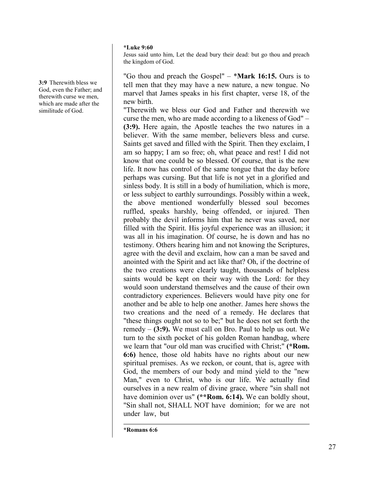#### **\*Luke 9:60**

Jesus said unto him, Let the dead bury their dead: but go thou and preach the kingdom of God.

"Go thou and preach the Gospel" – \***Mark 16:15.** Ours is to tell men that they may have a new nature, a new tongue. No marvel that James speaks in his first chapter, verse 18, of the new birth.

"Therewith we bless our God and Father and therewith we curse the men, who are made according to a likeness of God" – **(3:9).** Here again, the Apostle teaches the two natures in a believer. With the same member, believers bless and curse. Saints get saved and filled with the Spirit. Then they exclaim, I am so happy; I am so free; oh, what peace and rest! I did not know that one could be so blessed. Of course, that is the new life. It now has control of the same tongue that the day before perhaps was cursing. But that life is not yet in a glorified and sinless body. It is still in a body of humiliation, which is more, or less subject to earthly surroundings. Possibly within a week, the above mentioned wonderfully blessed soul becomes ruffled, speaks harshly, being offended, or injured. Then probably the devil informs him that he never was saved, nor filled with the Spirit. His joyful experience was an illusion; it was all in his imagination. Of course, he is down and has no testimony. Others hearing him and not knowing the Scriptures, agree with the devil and exclaim, how can a man be saved and anointed with the Spirit and act like that? Oh, if the doctrine of the two creations were clearly taught, thousands of helpless saints would be kept on their way with the Lord: for they would soon understand themselves and the cause of their own contradictory experiences. Believers would have pity one for another and be able to help one another. James here shows the two creations and the need of a remedy. He declares that "these things ought not so to be;" but he does not set forth the remedy – **(3:9).** We must call on Bro. Paul to help us out. We turn to the sixth pocket of his golden Roman handbag, where we learn that "our old man was crucified with Christ;" **(\*Rom. 6:6)** hence, those old habits have no rights about our new spiritual premises. As we reckon, or count, that is, agree with God, the members of our body and mind yield to the "new Man," even to Christ, who is our life. We actually find ourselves in a new realm of divine grace, where "sin shall not have dominion over us" **(\*\*Rom. 6:14).** We can boldly shout, "Sin shall not, SHALL NOT have dominion; for we are not under law, but

**\*Romans 6:6**

**3:9** Therewith bless we God, even the Father; and therewith curse we men, which are made after the similitude of God.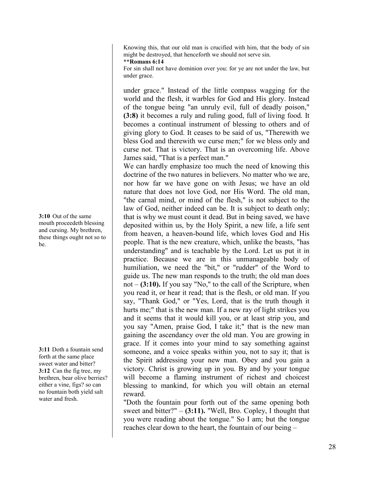Knowing this, that our old man is crucified with him, that the body of sin might be destroyed, that henceforth we should not serve sin.

**\*\*Romans 6:14**

For sin shall not have dominion over you: for ye are not under the law, but under grace.

under grace." Instead of the little compass wagging for the world and the flesh, it warbles for God and His glory. Instead of the tongue being "an unruly evil, full of deadly poison," **(3:8)** it becomes a ruly and ruling good, full of living food. It becomes a continual instrument of blessing to others and of giving glory to God. It ceases to be said of us, "Therewith we bless God and therewith we curse men;" for we bless only and curse not. That is victory. That is an overcoming life. Above James said, "That is a perfect man."

We can hardly emphasize too much the need of knowing this doctrine of the two natures in believers. No matter who we are, nor how far we have gone on with Jesus; we have an old nature that does not love God, nor His Word. The old man, "the carnal mind, or mind of the flesh," is not subject to the law of God, neither indeed can be. It is subject to death only; that is why we must count it dead. But in being saved, we have deposited within us, by the Holy Spirit, a new life, a life sent from heaven, a heaven-bound life, which loves God and His people. That is the new creature, which, unlike the beasts, "has understanding" and is teachable by the Lord. Let us put it in practice. Because we are in this unmanageable body of humiliation, we need the "bit," or "rudder" of the Word to guide us. The new man responds to the truth; the old man does not – **(3:10).** If you say "No," to the call of the Scripture, when you read it, or hear it read; that is the flesh, or old man. If you say, "Thank God," or "Yes, Lord, that is the truth though it hurts me;" that is the new man. If a new ray of light strikes you and it seems that it would kill you, or at least strip you, and you say "Amen, praise God, I take it;" that is the new man gaining the ascendancy over the old man. You are growing in grace. If it comes into your mind to say something against someone, and a voice speaks within you, not to say it; that is the Spirit addressing your new man. Obey and you gain a victory. Christ is growing up in you. By and by your tongue will become a flaming instrument of richest and choicest blessing to mankind, for which you will obtain an eternal reward.

"Doth the fountain pour forth out of the same opening both sweet and bitter?" – **(3:11).** "Well, Bro. Copley, I thought that you were reading about the tongue." So I am; but the tongue reaches clear down to the heart, the fountain of our being –

**3:10** Out of the same mouth proceedeth blessing and cursing. My brethren, these things ought not so to be.

**3:11** Doth a fountain send forth at the same place sweet water and bitter? **3:12** Can the fig tree, my brethren, bear olive berries? either a vine, figs? so can no fountain both yield salt water and fresh.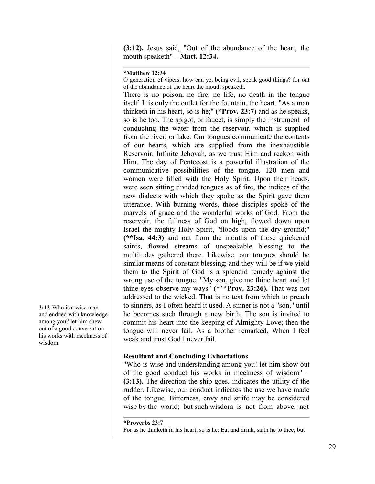**(3:12).** Jesus said, "Out of the abundance of the heart, the mouth speaketh" – **Matt. 12:34.**

## **\*Matthew 12:34**

O generation of vipers, how can ye, being evil, speak good things? for out of the abundance of the heart the mouth speaketh.

There is no poison, no fire, no life, no death in the tongue itself. It is only the outlet for the fountain, the heart. "As a man thinketh in his heart, so is he;" **(\*Prov. 23:7)** and as he speaks, so is he too. The spigot, or faucet, is simply the instrument of conducting the water from the reservoir, which is supplied from the river, or lake. Our tongues communicate the contents of our hearts, which are supplied from the inexhaustible Reservoir, Infinite Jehovah, as we trust Him and reckon with Him. The day of Pentecost is a powerful illustration of the communicative possibilities of the tongue. 120 men and women were filled with the Holy Spirit. Upon their heads, were seen sitting divided tongues as of fire, the indices of the new dialects with which they spoke as the Spirit gave them utterance. With burning words, those disciples spoke of the marvels of grace and the wonderful works of God. From the reservoir, the fullness of God on high, flowed down upon Israel the mighty Holy Spirit, "floods upon the dry ground;" **(\*\*Isa. 44:3)** and out from the mouths of those quickened saints, flowed streams of unspeakable blessing to the multitudes gathered there. Likewise, our tongues should be similar means of constant blessing; and they will be if we yield them to the Spirit of God is a splendid remedy against the wrong use of the tongue. "My son, give me thine heart and let thine eyes observe my ways" **(\*\*\*Prov. 23:26).** That was not addressed to the wicked. That is no text from which to preach to sinners, as I often heard it used. A sinner is not a "son," until he becomes such through a new birth. The son is invited to commit his heart into the keeping of Almighty Love; then the tongue will never fail. As a brother remarked, When I feel weak and trust God I never fail.

# **Resultant and Concluding Exhortations**

"Who is wise and understanding among you! let him show out of the good conduct his works in meekness of wisdom" – **(3:13).** The direction the ship goes, indicates the utility of the rudder. Likewise, our conduct indicates the use we have made of the tongue. Bitterness, envy and strife may be considered wise by the world; but such wisdom is not from above, not

**\*Proverbs 23:7** For as he thinketh in his heart, so is he: Eat and drink, saith he to thee; but

**3:13** Who is a wise man and endued with knowledge among you? let him shew out of a good conversation his works with meekness of wisdom.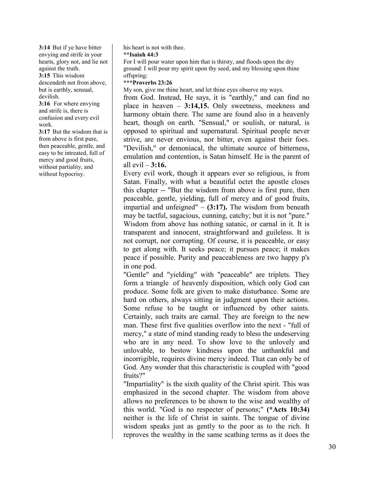**3:14** But if ye have bitter envying and strife in your hearts, glory not, and lie not against the truth. **3:15** This wisdom descendeth not from above, but is earthly, sensual,

devilish. **3:16** For where envying

and strife is, there is confusion and every evil work.

**3:17** But the wisdom that is from above is first pure, then peaceable, gentle, and easy to be intreated, full of mercy and good fruits, without partiality, and without hypocrisy.

his heart is not with thee.

#### **\*\*Isaiah 44:3**

For I will pour water upon him that is thirsty, and floods upon the dry ground: I will pour my spirit upon thy seed, and my blessing upon thine offspring:

## **\*\*\*Proverbs 23:26**

My son, give me thine heart, and let thine eyes observe my ways.

from God. Instead, He says, it is "earthly," and can find no place in heaven – **3:14,15.** Only sweetness, meekness and harmony obtain there. The same are found also in a heavenly heart, though on earth. "Sensual," or soulish, or natural, is opposed to spiritual and supernatural. Spiritual people never strive, are never envious, nor bitter, even against their foes. "Devilish," or demoniacal, the ultimate source of bitterness, emulation and contention, is Satan himself. He is the parent of all evil – **3:16.**

Every evil work, though it appears ever so religious, is from Satan. Finally, with what a beautiful octet the apostle closes this chapter -- "But the wisdom from above is first pure, then peaceable, gentle, yielding, full of mercy and of good fruits, impartial and unfeigned" – **(3:17).** The wisdom from beneath may be tactful, sagacious, cunning, catchy; but it is not "pure." Wisdom from above has nothing satanic, or carnal in it. It is transparent and innocent, straightforward and guileless. It is not corrupt, nor corrupting. Of course, it is peaceable, or easy to get along with. It seeks peace; it pursues peace; it makes peace if possible. Purity and peaceableness are two happy p's in one pod.

"Gentle" and "yielding" with "peaceable" are triplets. They form a triangle of heavenly disposition, which only God can produce. Some folk are given to make disturbance. Some are hard on others, always sitting in judgment upon their actions. Some refuse to be taught or influenced by other saints. Certainly, such traits are carnal. They are foreign to the new man. These first five qualities overflow into the next - "full of mercy," a state of mind standing ready to bless the undeserving who are in any need. To show love to the unlovely and unlovable, to bestow kindness upon the unthankful and incorrigible, requires divine mercy indeed. That can only be of God. Any wonder that this characteristic is coupled with "good fruits?"

"Impartiality" is the sixth quality of the Christ spirit. This was emphasized in the second chapter. The wisdom from above allows no preferences to be shown to the wise and wealthy of this world. "God is no respecter of persons;" **(\*Acts 10:34)** neither is the life of Christ in saints. The tongue of divine wisdom speaks just as gently to the poor as to the rich. It reproves the wealthy in the same scathing terms as it does the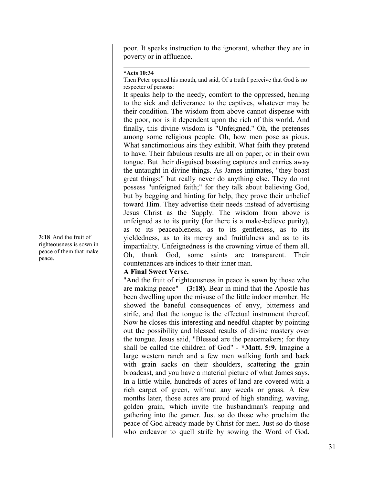poor. It speaks instruction to the ignorant, whether they are in poverty or in affluence.

#### **\*Acts 10:34**

Then Peter opened his mouth, and said, Of a truth I perceive that God is no respecter of persons:

It speaks help to the needy, comfort to the oppressed, healing to the sick and deliverance to the captives, whatever may be their condition. The wisdom from above cannot dispense with the poor, nor is it dependent upon the rich of this world. And finally, this divine wisdom is "Unfeigned." Oh, the pretenses among some religious people. Oh, how men pose as pious. What sanctimonious airs they exhibit. What faith they pretend to have. Their fabulous results are all on paper, or in their own tongue. But their disguised boasting captures and carries away the untaught in divine things. As James intimates, "they boast great things;" but really never do anything else. They do not possess "unfeigned faith;" for they talk about believing God, but by begging and hinting for help, they prove their unbelief toward Him. They advertise their needs instead of advertising Jesus Christ as the Supply. The wisdom from above is unfeigned as to its purity (for there is a make-believe purity), as to its peaceableness, as to its gentleness, as to its yieldedness, as to its mercy and fruitfulness and as to its impartiality. Unfeignedness is the crowning virtue of them all. Oh, thank God, some saints are transparent. Their countenances are indices to their inner man.

## **A Final Sweet Verse.**

"And the fruit of righteousness in peace is sown by those who are making peace"  $-$  (3:18). Bear in mind that the Apostle has been dwelling upon the misuse of the little indoor member. He showed the baneful consequences of envy, bitterness and strife, and that the tongue is the effectual instrument thereof. Now he closes this interesting and needful chapter by pointing out the possibility and blessed results of divine mastery over the tongue. Jesus said, "Blessed are the peacemakers; for they shall be called the children of God" - **\*Matt. 5:9.** Imagine a large western ranch and a few men walking forth and back with grain sacks on their shoulders, scattering the grain broadcast, and you have a material picture of what James says. In a little while, hundreds of acres of land are covered with a rich carpet of green, without any weeds or grass. A few months later, those acres are proud of high standing, waving, golden grain, which invite the husbandman's reaping and gathering into the garner. Just so do those who proclaim the peace of God already made by Christ for men. Just so do those who endeavor to quell strife by sowing the Word of God.

**3:18** And the fruit of righteousness is sown in peace of them that make peace.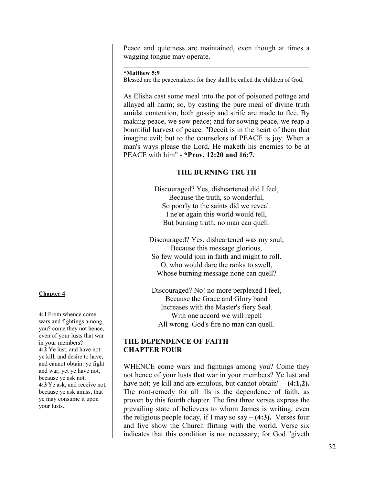Peace and quietness are maintained, even though at times a wagging tongue may operate.

## **\*Matthew 5:9**

Blessed are the peacemakers: for they shall be called the children of God.

As Elisha cast some meal into the pot of poisoned pottage and allayed all harm; so, by casting the pure meal of divine truth amidst contention, both gossip and strife are made to flee. By making peace, we sow peace; and for sowing peace, we reap a bountiful harvest of peace. "Deceit is in the heart of them that imagine evil; but to the counselors of PEACE is joy. When a man's ways please the Lord, He maketh his enemies to be at PEACE with him" - **\*Prov. 12:20 and 16:7.**

## **THE BURNING TRUTH**

Discouraged? Yes, disheartened did I feel, Because the truth, so wonderful, So poorly to the saints did we reveal. I ne'er again this world would tell, But burning truth, no man can quell.

Discouraged? Yes, disheartened was my soul, Because this message glorious, So few would join in faith and might to roll. O, who would dare the ranks to swell, Whose burning message none can quell?

Discouraged? No! no more perplexed I feel, Because the Grace and Glory band Increases with the Master's fiery Seal. With one accord we will repell All wrong. God's fire no man can quell.

## **THE DEPENDENCE OF FAITH CHAPTER FOUR**

WHENCE come wars and fightings among you? Come they not hence of your lusts that war in your members? Ye lust and have not; ye kill and are emulous, but cannot obtain" – **(4:1,2).** The root-remedy for all ills is the dependence of faith, as proven by this fourth chapter. The first three verses express the prevailing state of believers to whom James is writing, even the religious people today, if I may so say  $- (4:3)$ . Verses four and five show the Church flirting with the world. Verse six indicates that this condition is not necessary; for God "giveth

## **Chapter 4**

**4:1** From whence come wars and fightings among you? come they not hence, even of your lusts that war in your members? **4:2** Ye lust, and have not: ye kill, and desire to have, and cannot obtain: ye fight and war, yet ye have not, because ye ask not. **4:3** Ye ask, and receive not, because ye ask amiss, that ye may consume it upon your lusts.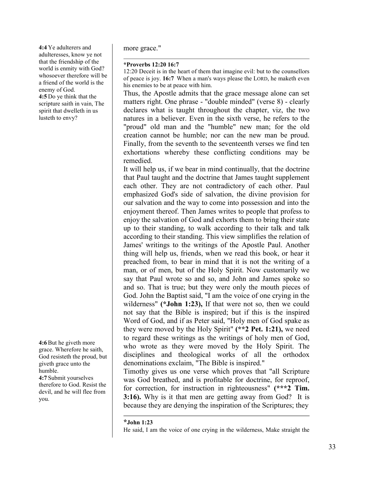**4:4** Ye adulterers and adulteresses, know ye not that the friendship of the world is enmity with God? whosoever therefore will be a friend of the world is the enemy of God. **4:5** Do ye think that the scripture saith in vain, The spirit that dwelleth in us lusteth to envy?

**4:6**But he giveth more grace. Wherefore he saith, God resisteth the proud, but giveth grace unto the humble. **4:7** Submit yourselves therefore to God. Resist the devil, and he will flee from

you.

more grace."

#### **\*Proverbs 12:20 16:7**

12:20 Deceit is in the heart of them that imagine evil: but to the counsellors of peace is joy. **16:7** When a man's ways please the LORD, he maketh even his enemies to be at peace with him.

Thus, the Apostle admits that the grace message alone can set matters right. One phrase - "double minded" (verse 8) - clearly declares what is taught throughout the chapter, viz, the two natures in a believer. Even in the sixth verse, he refers to the "proud" old man and the "humble" new man; for the old creation cannot be humble; nor can the new man be proud. Finally, from the seventh to the seventeenth verses we find ten exhortations whereby these conflicting conditions may be remedied.

It will help us, if we bear in mind continually, that the doctrine that Paul taught and the doctrine that James taught supplement each other. They are not contradictory of each other. Paul emphasized God's side of salvation, the divine provision for our salvation and the way to come into possession and into the enjoyment thereof. Then James writes to people that profess to enjoy the salvation of God and exhorts them to bring their state up to their standing, to walk according to their talk and talk according to their standing. This view simplifies the relation of James' writings to the writings of the Apostle Paul. Another thing will help us, friends, when we read this book, or hear it preached from, to bear in mind that it is not the writing of a man, or of men, but of the Holy Spirit. Now customarily we say that Paul wrote so and so, and John and James spoke so and so. That is true; but they were only the mouth pieces of God. John the Baptist said, "I am the voice of one crying in the wilderness" **(\*John 1:23),** If that were not so, then we could not say that the Bible is inspired; but if this is the inspired Word of God, and if as Peter said, "Holy men of God spake as they were moved by the Holy Spirit" **(\*\*2 Pet. 1:21),** we need to regard these writings as the writings of holy men of God, who wrote as they were moved by the Holy Spirit. The disciplines and theological works of all the orthodox denominations exclaim, "The Bible is inspired."

Timothy gives us one verse which proves that "all Scripture was God breathed, and is profitable for doctrine, for reproof, for correction, for instruction in righteousness" **(\*\*\*2 Tim. 3:16).** Why is it that men are getting away from God? It is because they are denying the inspiration of the Scriptures; they

**\*John 1:23**

He said, I am the voice of one crying in the wilderness, Make straight the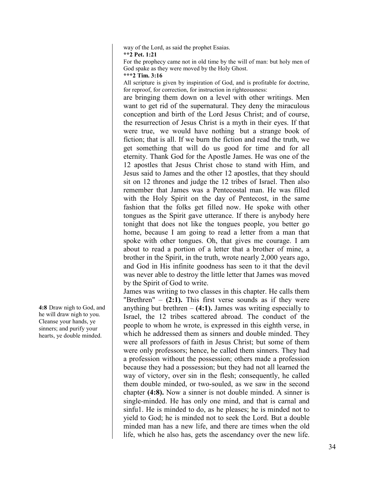way of the Lord, as said the prophet Esaias.

**\*\*2 Pet. 1:21**

For the prophecy came not in old time by the will of man: but holy men of God spake as they were moved by the Holy Ghost.

**\*\*\*2 Tim. 3:16**

All scripture is given by inspiration of God, and is profitable for doctrine, for reproof, for correction, for instruction in righteousness:

are bringing them down on a level with other writings. Men want to get rid of the supernatural. They deny the miraculous conception and birth of the Lord Jesus Christ; and of course, the resurrection of Jesus Christ is a myth in their eyes. If that were true, we would have nothing but a strange book of fiction; that is all. If we burn the fiction and read the truth, we get something that will do us good for time and for all eternity. Thank God for the Apostle James. He was one of the 12 apostles that Jesus Christ chose to stand with Him, and Jesus said to James and the other 12 apostles, that they should sit on 12 thrones and judge the 12 tribes of Israel. Then also remember that James was a Pentecostal man. He was filled with the Holy Spirit on the day of Pentecost, in the same fashion that the folks get filled now. He spoke with other tongues as the Spirit gave utterance. If there is anybody here tonight that does not like the tongues people, you better go home, because I am going to read a letter from a man that spoke with other tongues. Oh, that gives me courage. I am about to read a portion of a letter that a brother of mine, a brother in the Spirit, in the truth, wrote nearly 2,000 years ago, and God in His infinite goodness has seen to it that the devil was never able to destroy the little letter that James was moved by the Spirit of God to write.

James was writing to two classes in this chapter. He calls them "Brethren"  $-$  (2:1). This first verse sounds as if they were anything but brethren  $- (4:1)$ . James was writing especially to Israel, the 12 tribes scattered abroad. The conduct of the people to whom he wrote, is expressed in this eighth verse, in which he addressed them as sinners and double minded. They were all professors of faith in Jesus Christ; but some of them were only professors; hence, he called them sinners. They had a profession without the possession; others made a profession because they had a possession; but they had not all learned the way of victory, over sin in the flesh; consequently, he called them double minded, or two-souled, as we saw in the second chapter **(4:8).** Now a sinner is not double minded. A sinner is single-minded. He has only one mind, and that is carnal and sinfu1. He is minded to do, as he pleases; he is minded not to yield to God; he is minded not to seek the Lord. But a double minded man has a new life, and there are times when the old life, which he also has, gets the ascendancy over the new life.

**4:8** Draw nigh to God, and he will draw nigh to you. Cleanse your hands, ye sinners; and purify your hearts, ye double minded.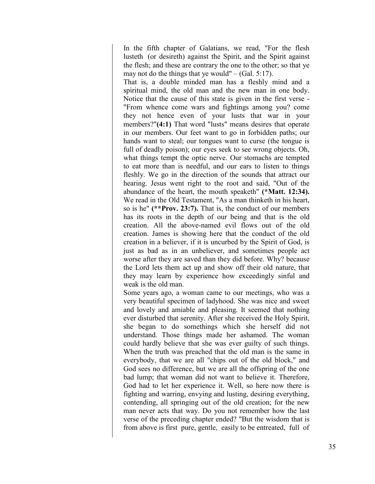In the fifth chapter of Galatians, we read, "For the flesh lusteth (or desireth) against the Spirit, and the Spirit against the flesh; and these are contrary the one to the other; so that ye may not do the things that ye would" – (Gal. 5:17).

That is, a double minded man has a fleshly mind and a spiritual mind, the old man and the new man in one body. Notice that the cause of this state is given in the first verse - "From whence come wars and fightings among you? come they not hence even of your lusts that war in your members?"**(4:1)** That word "lusts" means desires that operate in our members. Our feet want to go in forbidden paths; our hands want to steal; our tongues want to curse (the tongue is full of deadly poison); our eyes seek to see wrong objects. Oh, what things tempt the optic nerve. Our stomachs are tempted to eat more than is needful, and our ears to listen to things fleshly. We go in the direction of the sounds that attract our hearing. Jesus went right to the root and said, "Out of the abundance of the heart, the mouth speaketh" **(\*Matt. 12:34).** We read in the Old Testament, "As a man thinketh in his heart, so is he" **(\*\*Prov. 23:7).** That is, the conduct of our members has its roots in the depth of our being and that is the old creation. All the above-named evil flows out of the old creation. James is showing here that the conduct of the old creation in a believer, if it is uncurbed by the Spirit of God, is just as bad as in an unbeliever, and sometimes people act worse after they are saved than they did before. Why? because the Lord lets them act up and show off their old nature, that they may learn by experience how exceedingly sinful and weak is the old man.

Some years ago, a woman came to our meetings, who was a very beautiful specimen of ladyhood. She was nice and sweet and lovely and amiable and pleasing. It seemed that nothing ever disturbed that serenity. After she received the Holy Spirit, she began to do somethings which she herself did not understand. Those things made her ashamed. The woman could hardly believe that she was ever guilty of such things. When the truth was preached that the old man is the same in everybody, that we are all "chips out of the old block," and God sees no difference, but we are all the offspring of the one bad lump; that woman did not want to believe it. Therefore, God had to let her experience it. Well, so here now there is fighting and warring, envying and lusting, desiring everything, contending, all springing out of the old creation; for the new man never acts that way. Do you not remember how the last verse of the preceding chapter ended? "But the wisdom that is from above is first pure, gentle, easily to be entreated, full of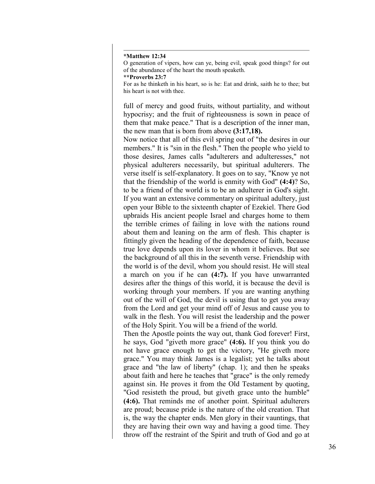#### **\*Matthew 12:34**

O generation of vipers, how can ye, being evil, speak good things? for out of the abundance of the heart the mouth speaketh.

**\*\*Proverbs 23:7**

For as he thinketh in his heart, so is he: Eat and drink, saith he to thee; but his heart is not with thee.

full of mercy and good fruits, without partiality, and without hypocrisy; and the fruit of righteousness is sown in peace of them that make peace." That is a description of the inner man, the new man that is born from above **(3:17,18).**

Now notice that all of this evil spring out of "the desires in our members." It is "sin in the flesh." Then the people who yield to those desires, James calls "adulterers and adulteresses," not physical adulterers necessarily, but spiritual adulterers. The verse itself is self-explanatory. It goes on to say, "Know ye not that the friendship of the world is enmity with God" **(4:4)**? So, to be a friend of the world is to be an adulterer in God's sight. If you want an extensive commentary on spiritual adultery, just open your Bible to the sixteenth chapter of Ezekiel. There God upbraids His ancient people Israel and charges home to them the terrible crimes of failing in love with the nations round about them and leaning on the arm of flesh. This chapter is fittingly given the heading of the dependence of faith, because true love depends upon its lover in whom it believes. But see the background of all this in the seventh verse. Friendship with the world is of the devil, whom you should resist. He will steal a march on you if he can **(4:7).** If you have unwarranted desires after the things of this world, it is because the devil is working through your members. If you are wanting anything out of the will of God, the devil is using that to get you away from the Lord and get your mind off of Jesus and cause you to walk in the flesh. You will resist the leadership and the power of the Holy Spirit. You will be a friend of the world.

Then the Apostle points the way out, thank God forever! First, he says, God "giveth more grace" **(4:6).** If you think you do not have grace enough to get the victory, "He giveth more grace." You may think James is a legalist; yet he talks about grace and "the law of liberty" (chap. 1); and then he speaks about faith and here he teaches that "grace" is the only remedy against sin. He proves it from the Old Testament by quoting, "God resisteth the proud, but giveth grace unto the humble" **(4:6).** That reminds me of another point. Spiritual adulterers are proud; because pride is the nature of the old creation. That is, the way the chapter ends. Men glory in their vauntings, that they are having their own way and having a good time. They throw off the restraint of the Spirit and truth of God and go at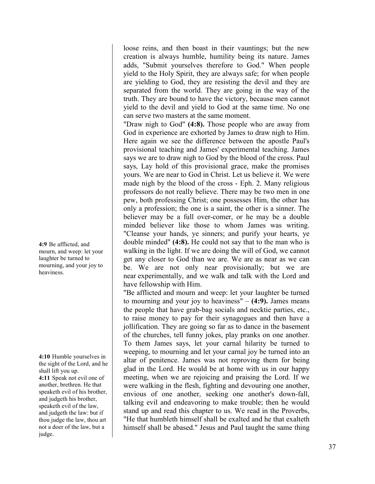loose reins, and then boast in their vauntings; but the new creation is always humble, humility being its nature. James adds, "Submit yourselves therefore to God." When people yield to the Holy Spirit, they are always safe; for when people are yielding to God, they are resisting the devil and they are separated from the world. They are going in the way of the truth. They are bound to have the victory, because men cannot yield to the devil and yield to God at the same time. No one can serve two masters at the same moment.

"Draw nigh to God" **(4:8).** Those people who are away from God in experience are exhorted by James to draw nigh to Him. Here again we see the difference between the apostle Paul's provisional teaching and James' experimental teaching. James says we are to draw nigh to God by the blood of the cross. Paul says, Lay hold of this provisional grace, make the promises yours. We are near to God in Christ. Let us believe it. We were made nigh by the blood of the cross - Eph. 2. Many religious professors do not really believe. There may be two men in one pew, both professing Christ; one possesses Him, the other has only a profession; the one is a saint, the other is a sinner. The believer may be a full over-comer, or he may be a double minded believer like those to whom James was writing. "Cleanse your hands, ye sinners; and purify your hearts, ye double minded" **(4:8).** He could not say that to the man who is walking in the light. If we are doing the will of God, we cannot get any closer to God than we are. We are as near as we can be. We are not only near provisionally; but we are near experimentally, and we walk and talk with the Lord and have fellowship with Him.

"Be afflicted and mourn and weep: let your laughter be turned to mourning and your joy to heaviness" – **(4:9).** James means the people that have grab-bag socials and necktie parties, etc., to raise money to pay for their synagogues and then have a jollification. They are going so far as to dance in the basement of the churches, tell funny jokes, play pranks on one another. To them James says, let your carnal hilarity be turned to weeping, to mourning and let your carnal joy be turned into an altar of penitence. James was not reproving them for being glad in the Lord. He would be at home with us in our happy meeting, when we are rejoicing and praising the Lord. If we were walking in the flesh, fighting and devouring one another, envious of one another, seeking one another's down-fall, talking evil and endeavoring to make trouble; then he would stand up and read this chapter to us. We read in the Proverbs, "He that humbleth himself shall be exalted and he that exalteth himself shall be abased." Jesus and Paul taught the same thing

**4:9** Be afflicted, and mourn, and weep: let your laughter be turned to mourning, and your joy to heaviness.

**4:10** Humble yourselves in the sight of the Lord, and he shall lift you up. **4:11** Speak not evil one of another, brethren. He that speaketh evil of his brother, and judgeth his brother, speaketh evil of the law, and judgeth the law: but if thou judge the law, thou art not a doer of the law, but a judge.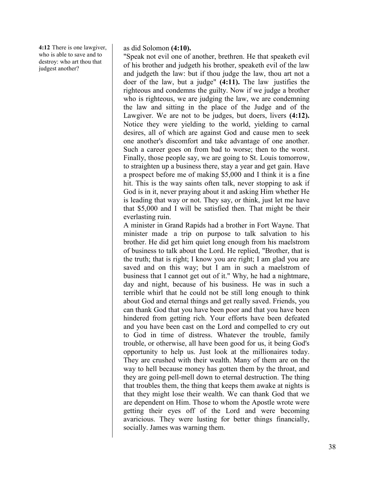**4:12** There is one lawgiver, who is able to save and to destroy: who art thou that judgest another?

## as did Solomon **(4:10).**

"Speak not evil one of another, brethren. He that speaketh evil of his brother and judgeth his brother, speaketh evil of the law and judgeth the law: but if thou judge the law, thou art not a doer of the law, but a judge" **(4:11).** The law justifies the righteous and condemns the guilty. Now if we judge a brother who is righteous, we are judging the law, we are condemning the law and sitting in the place of the Judge and of the Lawgiver. We are not to be judges, but doers, livers **(4:12).** Notice they were yielding to the world, yielding to carnal desires, all of which are against God and cause men to seek one another's discomfort and take advantage of one another. Such a career goes on from bad to worse; then to the worst. Finally, those people say, we are going to St. Louis tomorrow, to straighten up a business there, stay a year and get gain. Have a prospect before me of making \$5,000 and I think it is a fine hit. This is the way saints often talk, never stopping to ask if God is in it, never praying about it and asking Him whether He is leading that way or not. They say, or think, just let me have that \$5,000 and I will be satisfied then. That might be their everlasting ruin.

A minister in Grand Rapids had a brother in Fort Wayne. That minister made a trip on purpose to talk salvation to his brother. He did get him quiet long enough from his maelstrom of business to talk about the Lord. He replied, "Brother, that is the truth; that is right; I know you are right; I am glad you are saved and on this way; but I am in such a maelstrom of business that I cannot get out of it." Why, he had a nightmare, day and night, because of his business. He was in such a terrible whirl that he could not be still long enough to think about God and eternal things and get really saved. Friends, you can thank God that you have been poor and that you have been hindered from getting rich. Your efforts have been defeated and you have been cast on the Lord and compelled to cry out to God in time of distress. Whatever the trouble, family trouble, or otherwise, all have been good for us, it being God's opportunity to help us. Just look at the millionaires today. They are crushed with their wealth. Many of them are on the way to hell because money has gotten them by the throat, and they are going pell-mell down to eternal destruction. The thing that troubles them, the thing that keeps them awake at nights is that they might lose their wealth. We can thank God that we are dependent on Him. Those to whom the Apostle wrote were getting their eyes off of the Lord and were becoming avaricious. They were lusting for better things financially, socially. James was warning them.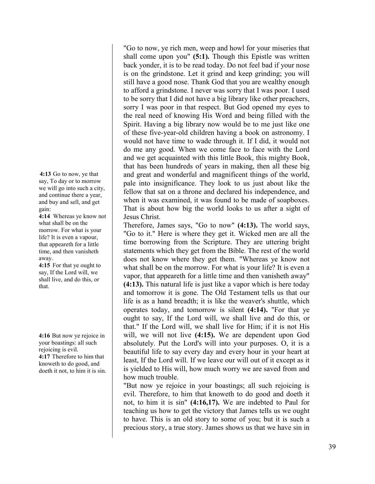**4:13** Go to now, ye that say, To day or to morrow we will go into such a city, and continue there a year, and buy and sell, and get gain:

**4:14** Whereas ye know not what shall be on the morrow. For what is your life? It is even a vapour, that appeareth for a little time, and then vanisheth away.

**4:15** For that ye ought to say, If the Lord will, we shall live, and do this, or that.

**4:16** But now ye rejoice in your boastings: all such rejoicing is evil. **4:17** Therefore to him that knoweth to do good, and doeth it not, to him it is sin. "Go to now, ye rich men, weep and howl for your miseries that shall come upon you" **(5:1).** Though this Epistle was written back yonder, it is to be read today. Do not feel bad if your nose is on the grindstone. Let it grind and keep grinding; you will still have a good nose. Thank God that you are wealthy enough to afford a grindstone. I never was sorry that I was poor. I used to be sorry that I did not have a big library like other preachers, sorry I was poor in that respect. But God opened my eyes to the real need of knowing His Word and being filled with the Spirit. Having a big library now would be to me just like one of these five-year-old children having a book on astronomy. I would not have time to wade through it. If I did, it would not do me any good. When we come face to face with the Lord and we get acquainted with this little Book, this mighty Book, that has been hundreds of years in making, then all these big and great and wonderful and magnificent things of the world, pale into insignificance. They look to us just about like the fellow that sat on a throne and declared his independence, and when it was examined, it was found to be made of soapboxes. That is about how big the world looks to us after a sight of Jesus Christ.

Therefore, James says, "Go to now" **(4:13).** The world says, "Go to it." Here is where they get it. Wicked men are all the time borrowing from the Scripture. They are uttering bright statements which they get from the Bible. The rest of the world does not know where they get them. "Whereas ye know not what shall be on the morrow. For what is your life? It is even a vapor, that appeareth for a little time and then vanisheth away" **(4:13).** This natural life is just like a vapor which is here today and tomorrow it is gone. The Old Testament tells us that our life is as a hand breadth; it is like the weaver's shuttle, which operates today, and tomorrow is silent **(4:14).** "For that ye ought to say, If the Lord will, we shall live and do this, or that." If the Lord will, we shall live for Him; if it is not His will, we will not live **(4:15).** We are dependent upon God absolutely. Put the Lord's will into your purposes. O, it is a beautiful life to say every day and every hour in your heart at least, If the Lord will. If we leave our will out of it except as it is yielded to His will, how much worry we are saved from and how much trouble.

"But now ye rejoice in your boastings; all such rejoicing is evil. Therefore, to him that knoweth to do good and doeth it not, to him it is sin" **(4:16,17).** We are indebted to Paul for teaching us how to get the victory that James tells us we ought to have. This is an old story to some of you; but it is such a precious story, a true story. James shows us that we have sin in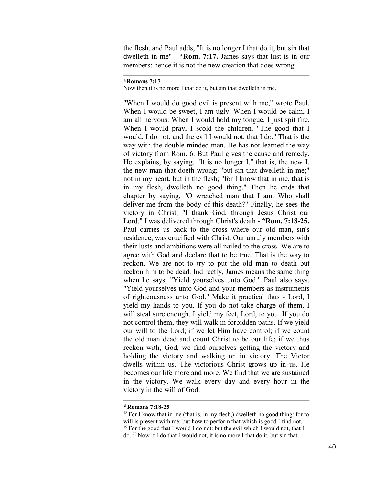the flesh, and Paul adds, "It is no longer I that do it, but sin that dwelleth in me" - **\*Rom. 7:17.** James says that lust is in our members; hence it is not the new creation that does wrong.

#### **\*Romans 7:17**

Now then it is no more I that do it, but sin that dwelleth in me.

"When I would do good evil is present with me," wrote Paul, When I would be sweet, I am ugly. When I would be calm, I am all nervous. When I would hold my tongue, I just spit fire. When I would pray, I scold the children. "The good that I would, I do not; and the evil I would not, that I do." That is the way with the double minded man. He has not learned the way of victory from Rom. 6. But Paul gives the cause and remedy. He explains, by saying, "It is no longer I," that is, the new I, the new man that doeth wrong; "but sin that dwelleth in me;" not in my heart, but in the flesh; "for I know that in me, that is in my flesh, dwelleth no good thing." Then he ends that chapter by saying, "O wretched man that I am. Who shall deliver me from the body of this death?" Finally, he sees the victory in Christ, "I thank God, through Jesus Christ our Lord." I was delivered through Christ's death - **\*Rom. 7:18-25.** Paul carries us back to the cross where our old man, sin's residence, was crucified with Christ. Our unruly members with their lusts and ambitions were all nailed to the cross. We are to agree with God and declare that to be true. That is the way to reckon. We are not to try to put the old man to death but reckon him to be dead. Indirectly, James means the same thing when he says, "Yield yourselves unto God." Paul also says, "Yield yourselves unto God and your members as instruments of righteousness unto God." Make it practical thus - Lord, I yield my hands to you. If you do not take charge of them, I will steal sure enough. I yield my feet, Lord, to you. If you do not control them, they will walk in forbidden paths. If we yield our will to the Lord; if we let Him have control; if we count the old man dead and count Christ to be our life; if we thus reckon with, God, we find ourselves getting the victory and holding the victory and walking on in victory. The Victor dwells within us. The victorious Christ grows up in us. He becomes our life more and more. We find that we are sustained in the victory. We walk every day and every hour in the victory in the will of God.

## **\*Romans 7:18-25**

 $18$  For I know that in me (that is, in my flesh,) dwelleth no good thing: for to will is present with me; but how to perform that which is good I find not.  $19$  For the good that I would I do not: but the evil which I would not, that I do. 20 Now if I do that I would not, it is no more I that do it, but sin that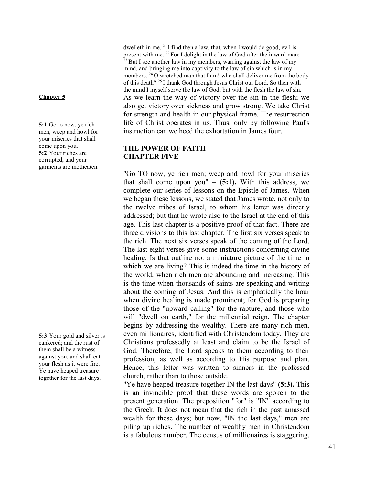## **Chapter 5**

**5:1** Go to now, ye rich men, weep and howl for your miseries that shall come upon you. **5:2** Your riches are corrupted, and your garments are motheaten.

**5:3** Your gold and silver is cankered; and the rust of them shall be a witness against you, and shall eat your flesh as it were fire. Ye have heaped treasure together for the last days.

dwelleth in me. <sup>21</sup> I find then a law, that, when I would do good, evil is present with me. <sup>22</sup> For I delight in the law of God after the inward man:  $23$  But I see another law in my members, warring against the law of my mind, and bringing me into captivity to the law of sin which is in my members. <sup>24</sup> O wretched man that I am! who shall deliver me from the body of this death? 25 I thank God through Jesus Christ our Lord. So then with the mind I myself serve the law of God; but with the flesh the law of sin. As we learn the way of victory over the sin in the flesh; we also get victory over sickness and grow strong. We take Christ for strength and health in our physical frame. The resurrection life of Christ operates in us. Thus, only by following Paul's instruction can we heed the exhortation in James four.

# **THE POWER OF FAITH CHAPTER FIVE**

"Go TO now, ye rich men; weep and howl for your miseries that shall come upon you"  $-$  (5:1). With this address, we complete our series of lessons on the Epistle of James. When we began these lessons, we stated that James wrote, not only to the twelve tribes of Israel, to whom his letter was directly addressed; but that he wrote also to the Israel at the end of this age. This last chapter is a positive proof of that fact. There are three divisions to this last chapter. The first six verses speak to the rich. The next six verses speak of the coming of the Lord. The last eight verses give some instructions concerning divine healing. Is that outline not a miniature picture of the time in which we are living? This is indeed the time in the history of the world, when rich men are abounding and increasing. This is the time when thousands of saints are speaking and writing about the coming of Jesus. And this is emphatically the hour when divine healing is made prominent; for God is preparing those of the "upward calling" for the rapture, and those who will "dwell on earth," for the millennial reign. The chapter begins by addressing the wealthy. There are many rich men, even millionaires, identified with Christendom today. They are Christians professedly at least and claim to be the Israel of God. Therefore, the Lord speaks to them according to their profession, as well as according to His purpose and plan. Hence, this letter was written to sinners in the professed church, rather than to those outside.

"Ye have heaped treasure together IN the last days" **(5:3).** This is an invincible proof that these words are spoken to the present generation. The preposition "for" is "IN" according to the Greek. It does not mean that the rich in the past amassed wealth for these days; but now, "IN the last days," men are piling up riches. The number of wealthy men in Christendom is a fabulous number. The census of millionaires is staggering.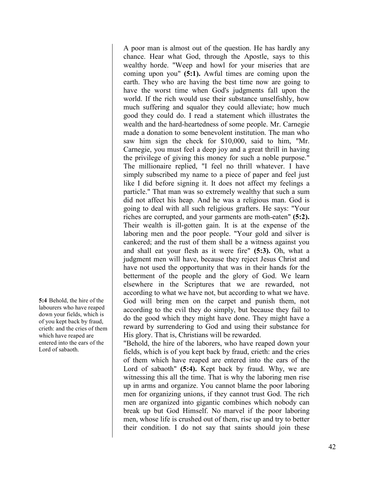**5:4** Behold, the hire of the labourers who have reaped down your fields, which is of you kept back by fraud, crieth: and the cries of them which have reaped are entered into the ears of the Lord of sabaoth.

A poor man is almost out of the question. He has hardly any chance. Hear what God, through the Apostle, says to this wealthy horde. "Weep and howl for your miseries that are coming upon you" **(5:1).** Awful times are coming upon the earth. They who are having the best time now are going to have the worst time when God's judgments fall upon the world. If the rich would use their substance unselfishly, how much suffering and squalor they could alleviate; how much good they could do. I read a statement which illustrates the wealth and the hard-heartedness of some people. Mr. Carnegie made a donation to some benevolent institution. The man who saw him sign the check for \$10,000, said to him, "Mr. Carnegie, you must feel a deep joy and a great thrill in having the privilege of giving this money for such a noble purpose." The millionaire replied, "I feel no thrill whatever. I have simply subscribed my name to a piece of paper and feel just like I did before signing it. It does not affect my feelings a particle." That man was so extremely wealthy that such a sum did not affect his heap. And he was a religious man. God is going to deal with all such religious grafters. He says: "Your riches are corrupted, and your garments are moth-eaten" **(5:2).** Their wealth is ill-gotten gain. It is at the expense of the laboring men and the poor people. "Your gold and silver is cankered; and the rust of them shall be a witness against you and shall eat your flesh as it were fire" **(5:3).** Oh, what a judgment men will have, because they reject Jesus Christ and have not used the opportunity that was in their hands for the betterment of the people and the glory of God. We learn elsewhere in the Scriptures that we are rewarded, not according to what we have not, but according to what we have. God will bring men on the carpet and punish them, not according to the evil they do simply, but because they fail to do the good which they might have done. They might have a reward by surrendering to God and using their substance for His glory. That is, Christians will be rewarded.

"Behold, the hire of the laborers, who have reaped down your fields, which is of you kept back by fraud, crieth: and the cries of them which have reaped are entered into the ears of the Lord of sabaoth" **(5:4).** Kept back by fraud. Why, we are witnessing this all the time. That is why the laboring men rise up in arms and organize. You cannot blame the poor laboring men for organizing unions, if they cannot trust God. The rich men are organized into gigantic combines which nobody can break up but God Himself. No marvel if the poor laboring men, whose life is crushed out of them, rise up and try to better their condition. I do not say that saints should join these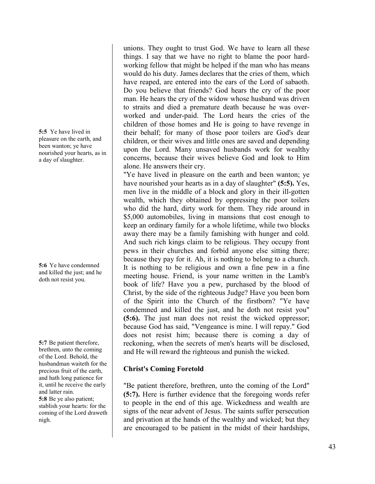**5:5** Ye have lived in pleasure on the earth, and been wanton; ye have nourished your hearts, as in a day of slaughter.

**5:6** Ye have condemned and killed the just; and he doth not resist you.

**5:7** Be patient therefore, brethren, unto the coming of the Lord. Behold, the husbandman waiteth for the precious fruit of the earth, and hath long patience for it, until he receive the early and latter rain. **5:8** Be ye also patient; stablish your hearts: for the coming of the Lord draweth

nigh.

unions. They ought to trust God. We have to learn all these things. I say that we have no right to blame the poor hardworking fellow that might be helped if the man who has means would do his duty. James declares that the cries of them, which have reaped, are entered into the ears of the Lord of sabaoth. Do you believe that friends? God hears the cry of the poor man. He hears the cry of the widow whose husband was driven to straits and died a premature death because he was overworked and under-paid. The Lord hears the cries of the children of those homes and He is going to have revenge in their behalf; for many of those poor toilers are God's dear children, or their wives and little ones are saved and depending upon the Lord. Many unsaved husbands work for wealthy concerns, because their wives believe God and look to Him alone. He answers their cry.

"Ye have lived in pleasure on the earth and been wanton; ye have nourished your hearts as in a day of slaughter" **(5:5).** Yes, men live in the middle of a block and glory in their ill-gotten wealth, which they obtained by oppressing the poor toilers who did the hard, dirty work for them. They ride around in \$5,000 automobiles, living in mansions that cost enough to keep an ordinary family for a whole lifetime, while two blocks away there may be a family famishing with hunger and cold. And such rich kings claim to be religious. They occupy front pews in their churches and forbid anyone else sitting there; because they pay for it. Ah, it is nothing to belong to a church. It is nothing to be religious and own a fine pew in a fine meeting house. Friend, is your name written in the Lamb's book of life? Have you a pew, purchased by the blood of Christ, by the side of the righteous Judge? Have you been born of the Spirit into the Church of the firstborn? "Ye have condemned and killed the just, and he doth not resist you" **(5:6).** The just man does not resist the wicked oppressor; because God has said, "Vengeance is mine. I will repay." God does not resist him; because there is coming a day of reckoning, when the secrets of men's hearts will be disclosed, and He will reward the righteous and punish the wicked.

# **Christ's Coming Foretold**

"Be patient therefore, brethren, unto the coming of the Lord" **(5:7).** Here is further evidence that the foregoing words refer to people in the end of this age. Wickedness and wealth are signs of the near advent of Jesus. The saints suffer persecution and privation at the hands of the wealthy and wicked; but they are encouraged to be patient in the midst of their hardships,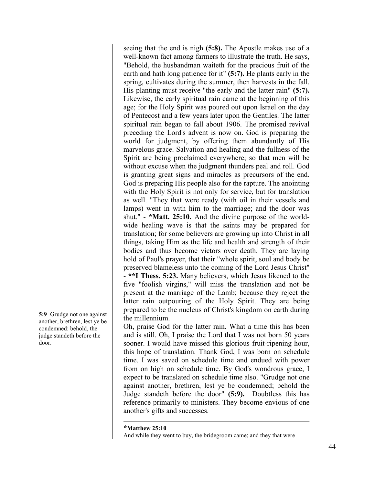seeing that the end is nigh **(5:8).** The Apostle makes use of a well-known fact among farmers to illustrate the truth. He says, "Behold, the husbandman waiteth for the precious fruit of the earth and hath long patience for it" **(5:7).** He plants early in the spring, cultivates during the summer, then harvests in the fall. His planting must receive "the early and the latter rain" **(5:7).** Likewise, the early spiritual rain came at the beginning of this age; for the Holy Spirit was poured out upon Israel on the day of Pentecost and a few years later upon the Gentiles. The latter spiritual rain began to fall about 1906. The promised revival preceding the Lord's advent is now on. God is preparing the world for judgment, by offering them abundantly of His marvelous grace. Salvation and healing and the fullness of the Spirit are being proclaimed everywhere; so that men will be without excuse when the judgment thunders peal and roll. God is granting great signs and miracles as precursors of the end. God is preparing His people also for the rapture. The anointing with the Holy Spirit is not only for service, but for translation as well. "They that were ready (with oil in their vessels and lamps) went in with him to the marriage; and the door was shut." - **\*Matt. 25:10.** And the divine purpose of the worldwide healing wave is that the saints may be prepared for translation; for some believers are growing up into Christ in all things, taking Him as the life and health and strength of their bodies and thus become victors over death. They are laying hold of Paul's prayer, that their "whole spirit, soul and body be preserved blameless unto the coming of the Lord Jesus Christ" - **\*\*I Thess. 5:23.** Many believers, which Jesus likened to the five "foolish virgins," will miss the translation and not be present at the marriage of the Lamb; because they reject the latter rain outpouring of the Holy Spirit. They are being prepared to be the nucleus of Christ's kingdom on earth during the millennium.

Oh, praise God for the latter rain. What a time this has been and is still. Oh, I praise the Lord that I was not born 50 years sooner. I would have missed this glorious fruit-ripening hour, this hope of translation. Thank God, I was born on schedule time. I was saved on schedule time and endued with power from on high on schedule time. By God's wondrous grace, I expect to be translated on schedule time also. "Grudge not one against another, brethren, lest ye be condemned; behold the Judge standeth before the door" **(5:9).** Doubtless this has reference primarily to ministers. They become envious of one another's gifts and successes.

**5:9** Grudge not one against another, brethren, lest ye be condemned: behold, the judge standeth before the door.

**<sup>\*</sup>Matthew 25:10**

And while they went to buy, the bridegroom came; and they that were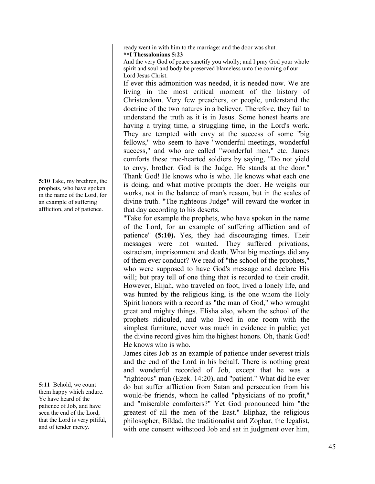ready went in with him to the marriage: and the door was shut. **\*\*I Thessalonians 5:23**

And the very God of peace sanctify you wholly; and I pray God your whole spirit and soul and body be preserved blameless unto the coming of our Lord Jesus Christ.

If ever this admonition was needed, it is needed now. We are living in the most critical moment of the history of Christendom. Very few preachers, or people, understand the doctrine of the two natures in a believer. Therefore, they fail to understand the truth as it is in Jesus. Some honest hearts are having a trying time, a struggling time, in the Lord's work. They are tempted with envy at the success of some "big fellows," who seem to have "wonderful meetings, wonderful success," and who are called "wonderful men," etc. James comforts these true-hearted soldiers by saying, "Do not yield to envy, brother. God is the Judge. He stands at the door." Thank God! He knows who is who. He knows what each one is doing, and what motive prompts the doer. He weighs our works, not in the balance of man's reason, but in the scales of divine truth. "The righteous Judge" will reward the worker in that day according to his deserts.

"Take for example the prophets, who have spoken in the name of the Lord, for an example of suffering affliction and of patience" **(5:10).** Yes, they had discouraging times. Their messages were not wanted. They suffered privations, ostracism, imprisonment and death. What big meetings did any of them ever conduct? We read of "the school of the prophets," who were supposed to have God's message and declare His will; but pray tell of one thing that is recorded to their credit. However, Elijah, who traveled on foot, lived a lonely life, and was hunted by the religious king, is the one whom the Holy Spirit honors with a record as "the man of God," who wrought great and mighty things. Elisha also, whom the school of the prophets ridiculed, and who lived in one room with the simplest furniture, never was much in evidence in public; yet the divine record gives him the highest honors. Oh, thank God! He knows who is who.

James cites Job as an example of patience under severest trials and the end of the Lord in his behalf. There is nothing great and wonderful recorded of Job, except that he was a "righteous" man (Ezek. 14:20), and "patient." What did he ever do but suffer affliction from Satan and persecution from his would-be friends, whom he called "physicians of no profit," and "miserable comforters?" Yet God pronounced him "the greatest of all the men of the East." Eliphaz, the religious philosopher, Bildad, the traditionalist and Zophar, the legalist, with one consent withstood Job and sat in judgment over him,

**5:10** Take, my brethren, the prophets, who have spoken in the name of the Lord, for an example of suffering affliction, and of patience.

**5:11** Behold, we count them happy which endure. Ye have heard of the patience of Job, and have seen the end of the Lord; that the Lord is very pitiful, and of tender mercy.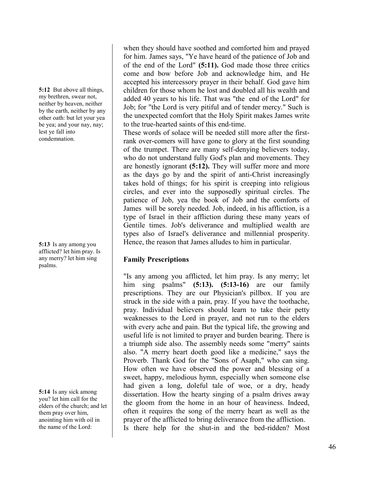**5:12** But above all things, my brethren, swear not, neither by heaven, neither by the earth, neither by any other oath: but let your yea be yea; and your nay, nay; lest ye fall into condemnation.

**5:13** Is any among you afflicted? let him pray. Is any merry? let him sing psalms.

**5:14** Is any sick among you? let him call for the elders of the church; and let them pray over him, anointing him with oil in the name of the Lord:

when they should have soothed and comforted him and prayed for him. James says, "Ye have heard of the patience of Job and of the end of the Lord" **(5:11).** God made those three critics come and bow before Job and acknowledge him, and He accepted his intercessory prayer in their behalf. God gave him children for those whom he lost and doubled all his wealth and added 40 years to his life. That was "the end of the Lord" for Job; for "the Lord is very pitiful and of tender mercy." Such is the unexpected comfort that the Holy Spirit makes James write to the true-hearted saints of this end-time.

These words of solace will be needed still more after the firstrank over-comers will have gone to glory at the first sounding of the trumpet. There are many self-denying believers today, who do not understand fully God's plan and movements. They are honestly ignorant **(5:12).** They will suffer more and more as the days go by and the spirit of anti-Christ increasingly takes hold of things; for his spirit is creeping into religious circles, and ever into the supposedly spiritual circles. The patience of Job, yea the book of Job and the comforts of James will be sorely needed. Job, indeed, in his affliction, is a type of Israel in their affliction during these many years of Gentile times. Job's deliverance and multiplied wealth are types also of Israel's deliverance and millennial prosperity. Hence, the reason that James alludes to him in particular.

# **Family Prescriptions**

"Is any among you afflicted, let him pray. Is any merry; let him sing psalms" **(5:13). (5:13-16)** are our family prescriptions. They are our Physician's pillbox. If you are struck in the side with a pain, pray. If you have the toothache, pray. Individual believers should learn to take their petty weaknesses to the Lord in prayer, and not run to the elders with every ache and pain. But the typical life, the growing and useful life is not limited to prayer and burden bearing. There is a triumph side also. The assembly needs some "merry" saints also. "A merry heart doeth good like a medicine," says the Proverb. Thank God for the "Sons of Asaph," who can sing. How often we have observed the power and blessing of a sweet, happy, melodious hymn, especially when someone else had given a long, doleful tale of woe, or a dry, heady dissertation. How the hearty singing of a psalm drives away the gloom from the home in an hour of heaviness. Indeed, often it requires the song of the merry heart as well as the prayer of the afflicted to bring deliverance from the affliction. Is there help for the shut-in and the bed-ridden? Most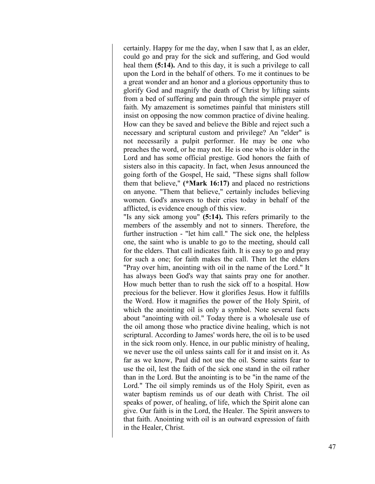certainly. Happy for me the day, when I saw that I, as an elder, could go and pray for the sick and suffering, and God would heal them **(5:14).** And to this day, it is such a privilege to call upon the Lord in the behalf of others. To me it continues to be a great wonder and an honor and a glorious opportunity thus to glorify God and magnify the death of Christ by lifting saints from a bed of suffering and pain through the simple prayer of faith. My amazement is sometimes painful that ministers still insist on opposing the now common practice of divine healing. How can they be saved and believe the Bible and reject such a necessary and scriptural custom and privilege? An "elder" is not necessarily a pulpit performer. He may be one who preaches the word, or he may not. He is one who is older in the Lord and has some official prestige. God honors the faith of sisters also in this capacity. In fact, when Jesus announced the going forth of the Gospel, He said, "These signs shall follow them that believe," **(\*Mark 16:17)** and placed no restrictions on anyone. "Them that believe," certainly includes believing women. God's answers to their cries today in behalf of the afflicted, is evidence enough of this view.

"Is any sick among you" **(5:14).** This refers primarily to the members of the assembly and not to sinners. Therefore, the further instruction - "let him call." The sick one, the helpless one, the saint who is unable to go to the meeting, should call for the elders. That call indicates faith. It is easy to go and pray for such a one; for faith makes the call. Then let the elders "Pray over him, anointing with oil in the name of the Lord." It has always been God's way that saints pray one for another. How much better than to rush the sick off to a hospital. How precious for the believer. How it glorifies Jesus. How it fulfills the Word. How it magnifies the power of the Holy Spirit, of which the anointing oil is only a symbol. Note several facts about "anointing with oil." Today there is a wholesale use of the oil among those who practice divine healing, which is not scriptural. According to James' words here, the oil is to be used in the sick room only. Hence, in our public ministry of healing, we never use the oil unless saints call for it and insist on it. As far as we know, Paul did not use the oil. Some saints fear to use the oil, lest the faith of the sick one stand in the oil rather than in the Lord. But the anointing is to be "in the name of the Lord." The oil simply reminds us of the Holy Spirit, even as water baptism reminds us of our death with Christ. The oil speaks of power, of healing, of life, which the Spirit alone can give. Our faith is in the Lord, the Healer. The Spirit answers to that faith. Anointing with oil is an outward expression of faith in the Healer, Christ.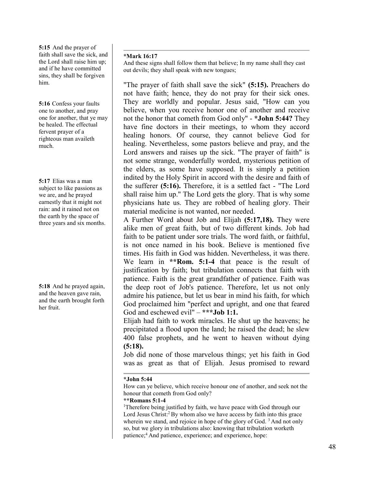**5:15** And the prayer of faith shall save the sick, and the Lord shall raise him up; and if he have committed sins, they shall be forgiven him.

**5:16** Confess your faults one to another, and pray one for another, that ye may be healed. The effectual fervent prayer of a righteous man availeth much.

**5:17** Elias was a man subject to like passions as we are, and he prayed earnestly that it might not rain: and it rained not on the earth by the space of three years and six months.

**5:18** And he prayed again, and the heaven gave rain, and the earth brought forth her fruit.

## **\*Mark 16:17**

And these signs shall follow them that believe; In my name shall they cast out devils; they shall speak with new tongues;

"The prayer of faith shall save the sick" **(5:15).** Preachers do not have faith; hence, they do not pray for their sick ones. They are worldly and popular. Jesus said, "How can you believe, when you receive honor one of another and receive not the honor that cometh from God only" - **\*John 5:44?** They have fine doctors in their meetings, to whom they accord healing honors. Of course, they cannot believe God for healing. Nevertheless, some pastors believe and pray, and the Lord answers and raises up the sick. "The prayer of faith" is not some strange, wonderfully worded, mysterious petition of the elders, as some have supposed. It is simply a petition indited by the Holy Spirit in accord with the desire and faith of the sufferer **(5:16).** Therefore, it is a settled fact - "The Lord shall raise him up." The Lord gets the glory. That is why some physicians hate us. They are robbed of healing glory. Their material medicine is not wanted, nor needed.

A Further Word about Job and Elijah **(5:17,18).** They were alike men of great faith, but of two different kinds. Job had faith to be patient under sore trials. The word faith, or faithful, is not once named in his book. Believe is mentioned five times. His faith in God was hidden. Nevertheless, it was there. We learn in **\*\*Rom. 5:1-4** that peace is the result of justification by faith; but tribulation connects that faith with patience. Faith is the great grandfather of patience. Faith was the deep root of Job's patience. Therefore, let us not only admire his patience, but let us bear in mind his faith, for which God proclaimed him "perfect and upright, and one that feared God and eschewed evil" – **\*\*\*Job 1:1.**

Elijah had faith to work miracles. He shut up the heavens; he precipitated a flood upon the land; he raised the dead; he slew 400 false prophets, and he went to heaven without dying **(5:18).**

Job did none of those marvelous things; yet his faith in God was as great as that of Elijah. Jesus promised to reward

## **\*John 5:44**

How can ye believe, which receive honour one of another, and seek not the honour that cometh from God only?

## **\*\*Romans 5:1-4**

<sup>1</sup>Therefore being justified by faith, we have peace with God through our Lord Jesus Christ: ${}^{2}$ By whom also we have access by faith into this grace wherein we stand, and rejoice in hope of the glory of God.<sup>3</sup> And not only so, but we glory in tribulations also: knowing that tribulation worketh patience;<sup>4</sup> And patience, experience; and experience, hope: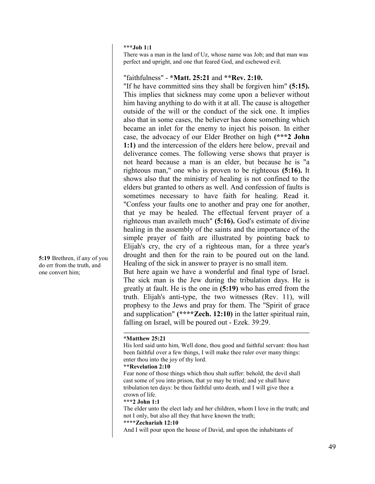#### **\*\*\*Job 1:1**

There was a man in the land of Uz, whose name was Job; and that man was perfect and upright, and one that feared God, and eschewed evil.

## "faithfulness" - **\*Matt. 25:21** and **\*\*Rev. 2:10.**

"If he have committed sins they shall be forgiven him" **(5:15).** This implies that sickness may come upon a believer without him having anything to do with it at all. The cause is altogether outside of the will or the conduct of the sick one. It implies also that in some cases, the believer has done something which became an inlet for the enemy to inject his poison. In either case, the advocacy of our Elder Brother on high **(\*\*\*2 John 1:1)** and the intercession of the elders here below, prevail and deliverance comes. The following verse shows that prayer is not heard because a man is an elder, but because he is "a righteous man," one who is proven to be righteous **(5:16).** It shows also that the ministry of healing is not confined to the elders but granted to others as well. And confession of faults is sometimes necessary to have faith for healing. Read it. "Confess your faults one to another and pray one for another, that ye may be healed. The effectual fervent prayer of a righteous man availeth much" **(5:16).** God's estimate of divine healing in the assembly of the saints and the importance of the simple prayer of faith are illustrated by pointing back to Elijah's cry, the cry of a righteous man, for a three year's drought and then for the rain to be poured out on the land. Healing of the sick in answer to prayer is no small item.

But here again we have a wonderful and final type of Israel. The sick man is the Jew during the tribulation days. He is greatly at fault. He is the one in **(5:19)** who has erred from the truth. Elijah's anti-type, the two witnesses (Rev. 11), will prophesy to the Jews and pray for them. The "Spirit of grace and supplication" **(\*\*\*\*Zech. 12:10)** in the latter spiritual rain, falling on Israel, will be poured out - Ezek. 39:29.

#### **\*Matthew 25:21**

His lord said unto him, Well done, thou good and faithful servant: thou hast been faithful over a few things, I will make thee ruler over many things: enter thou into the joy of thy lord.

#### **\*\*Revelation 2:10**

Fear none of those things which thou shalt suffer: behold, the devil shall cast some of you into prison, that ye may be tried; and ye shall have tribulation ten days: be thou faithful unto death, and I will give thee a crown of life.

#### **\*\*\*2 John 1:1**

The elder unto the elect lady and her children, whom I love in the truth; and not I only, but also all they that have known the truth;

## **\*\*\*\*Zechariah 12:10**

And I will pour upon the house of David, and upon the inhabitants of

**5:19** Brethren, if any of you do err from the truth, and one convert him;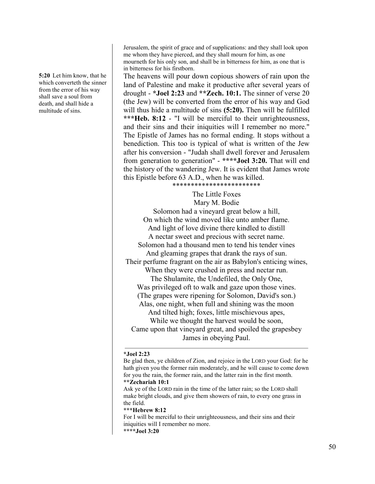**5:20** Let him know, that he which converteth the sinner from the error of his way shall save a soul from death, and shall hide a multitude of sins.

Jerusalem, the spirit of grace and of supplications: and they shall look upon me whom they have pierced, and they shall mourn for him, as one mourneth for his only son, and shall be in bitterness for him, as one that is in bitterness for his firstborn.

The heavens will pour down copious showers of rain upon the land of Palestine and make it productive after several years of drought - **\*Joel 2:23** and **\*\*Zech. 10:1.** The sinner of verse 20 (the Jew) will be converted from the error of his way and God will thus hide a multitude of sins **(5:20).** Then will be fulfilled **\*\*\*Heb. 8:12** - "I will be merciful to their unrighteousness, and their sins and their iniquities will I remember no more." The Epistle of James has no formal ending. It stops without a benediction. This too is typical of what is written of the Jew after his conversion - "Judah shall dwell forever and Jerusalem from generation to generation" - **\*\*\*\*Joel 3:20.** That will end the history of the wandering Jew. It is evident that James wrote this Epistle before 63 A.D., when he was killed. \*\*\*\*\*\*\*\*\*\*\*\*\*\*\*\*\*\*\*\*\*\*\*\*

The Little Foxes Mary M. Bodie Solomon had a vineyard great below a hill, On which the wind moved like unto amber flame. And light of love divine there kindled to distill A nectar sweet and precious with secret name. Solomon had a thousand men to tend his tender vines And gleaming grapes that drank the rays of sun. Their perfume fragrant on the air as Babylon's enticing wines, When they were crushed in press and nectar run. The Shulamite, the Undefiled, the Only One, Was privileged oft to walk and gaze upon those vines. (The grapes were ripening for Solomon, David's son.) Alas, one night, when full and shining was the moon And tilted high; foxes, little mischievous apes, While we thought the harvest would be soon, Came upon that vineyard great, and spoiled the grapesbey James in obeying Paul.

#### **\*Joel 2:23**

Ask ye of the LORD rain in the time of the latter rain; so the LORD shall make bright clouds, and give them showers of rain, to every one grass in the field.

#### **\*\*\*Hebrew 8:12**

For I will be merciful to their unrighteousness, and their sins and their iniquities will I remember no more.

Be glad then, ye children of Zion, and rejoice in the LORD your God: for he hath given you the former rain moderately, and he will cause to come down for you the rain, the former rain, and the latter rain in the first month. **\*\*Zechariah 10:1**